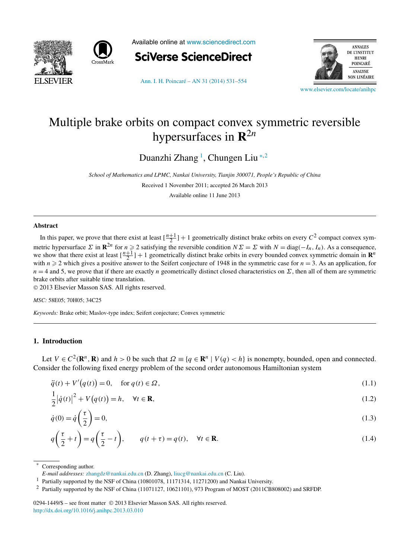<span id="page-0-0"></span>



Available online at [www.sciencedirect.com](http://www.sciencedirect.com)



[Ann. I. H. Poincaré – AN 31 \(2014\) 531–554](http://dx.doi.org/10.1016/j.anihpc.2013.03.010)



[www.elsevier.com/locate/anihpc](http://www.elsevier.com/locate/anihpc)

# Multiple brake orbits on compact convex symmetric reversible hypersurfaces in **R**2*<sup>n</sup>*

Duanzhi Zhang <sup>1</sup> , Chungen Liu <sup>∗</sup>*,*<sup>2</sup>

*School of Mathematics and LPMC, Nankai University, Tianjin 300071, People's Republic of China*

Received 1 November 2011; accepted 26 March 2013

Available online 11 June 2013

#### **Abstract**

In this paper, we prove that there exist at least  $\left[\frac{n+1}{2}\right]+1$  geometrically distinct brake orbits on every  $C^2$  compact convex symmetric hypersurface  $\Sigma$  in  $\mathbb{R}^{2n}$  for  $n \geq 2$  satisfying the reversible condition  $N\Sigma = \Sigma$  with  $N = \text{diag}(-I_n, I_n)$ . As a consequence, we show that there exist at least  $\left[\frac{n+1}{2}\right]+1$  geometrically distinct brake orbits in every bounded convex symmetric domain in  $\mathbb{R}^n$ with  $n \ge 2$  which gives a positive answer to the Seifert conjecture of 1948 in the symmetric case for  $n = 3$ . As an application, for  $n = 4$  and 5, we prove that if there are exactly *n* geometrically distinct closed characteristics on  $\Sigma$ , then all of them are symmetric brake orbits after suitable time translation.

© 2013 Elsevier Masson SAS. All rights reserved.

#### *MSC:* 58E05; 70H05; 34C25

*Keywords:* Brake orbit; Maslov-type index; Seifert conjecture; Convex symmetric

## **1. Introduction**

1

Let  $V \in C^2(\mathbf{R}^n, \mathbf{R})$  and  $h > 0$  be such that  $\Omega \equiv \{q \in \mathbf{R}^n \mid V(q) < h\}$  is nonempty, bounded, open and connected. Consider the following fixed energy problem of the second order autonomous Hamiltonian system

$$
\ddot{q}(t) + V'(q(t)) = 0, \quad \text{for } q(t) \in \Omega,
$$
\n(1.1)

$$
\frac{1}{2}|\dot{q}(t)|^2 + V(q(t)) = h, \quad \forall t \in \mathbf{R},\tag{1.2}
$$

$$
\dot{q}(0) = \dot{q}\left(\frac{\tau}{2}\right) = 0,\tag{1.3}
$$

$$
q\left(\frac{\tau}{2} + t\right) = q\left(\frac{\tau}{2} - t\right), \qquad q(t + \tau) = q(t), \quad \forall t \in \mathbf{R}.
$$
 (1.4)

Corresponding author.

#### 0294-1449/\$ – see front matter © 2013 Elsevier Masson SAS. All rights reserved. <http://dx.doi.org/10.1016/j.anihpc.2013.03.010>

*E-mail addresses:* [zhangdz@nankai.edu.cn](mailto:zhangdz@nankai.edu.cn) (D. Zhang), [liucg@nankai.edu.cn](mailto:liucg@nankai.edu.cn) (C. Liu).

<sup>1</sup> Partially supported by the NSF of China (10801078, 11171314, 11271200) and Nankai University.

<sup>2</sup> Partially supported by the NSF of China (11071127, 10621101), 973 Program of MOST (2011CB808002) and SRFDP.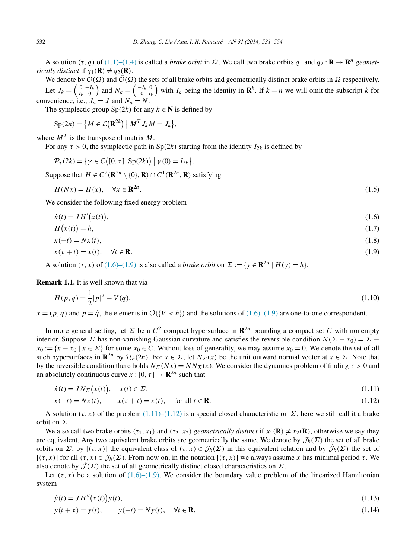<span id="page-1-0"></span>A solution (τ, *q*) of [\(1.1\)–\(1.4\)](#page-0-0) is called a *brake orbit* in Ω. We call two brake orbits  $q_1$  and  $q_2$ : **R** → **R**<sup>*n*</sup> *geometrically distinct* if  $q_1(\mathbf{R}) \neq q_2(\mathbf{R})$ .

We denote by  $\mathcal{O}(\Omega)$  and  $\tilde{\mathcal{O}}(\Omega)$  the sets of all brake orbits and geometrically distinct brake orbits in  $\Omega$  respectively. Let  $J_k = \begin{pmatrix} 0 & -I_k \\ I_k & 0 \end{pmatrix}$  and  $N_k = \begin{pmatrix} -I_k & 0 \\ 0 & I_k \end{pmatrix}$  with  $I_k$  being the identity in  $\mathbf{R}^k$ . If  $k = n$  we will omit the subscript *k* for convenience, i.e.,  $J_n = J$  and  $N_n = N$ .

The symplectic group  $\text{Sp}(2k)$  for any  $k \in \mathbb{N}$  is defined by

$$
Sp(2n) = \left\{ M \in \mathcal{L}(\mathbf{R}^{2k}) \middle| M^T J_k M = J_k \right\},\
$$

where  $M<sup>T</sup>$  is the transpose of matrix *M*.

For any  $\tau > 0$ , the symplectic path in Sp(2*k*) starting from the identity  $I_{2k}$  is defined by

$$
\mathcal{P}_{\tau}(2k) = \{ \gamma \in C\big( [0, \tau], \operatorname{Sp}(2k) \big) \mid \gamma(0) = I_{2k} \big\}.
$$

Suppose that  $H \in C^2(\mathbb{R}^{2n} \setminus \{0\}, \mathbb{R}) \cap C^1(\mathbb{R}^{2n}, \mathbb{R})$  satisfying

$$
H(Nx) = H(x), \quad \forall x \in \mathbf{R}^{2n}.
$$
\n
$$
(1.5)
$$

We consider the following fixed energy problem

$$
\dot{x}(t) = JH'(x(t)),\tag{1.6}
$$

$$
H(x(t)) = h,\tag{1.7}
$$

$$
x(-t) = Nx(t),
$$
\n<sup>(1.8)</sup>

$$
x(\tau + t) = x(t), \quad \forall t \in \mathbf{R}.\tag{1.9}
$$

A solution  $(\tau, x)$  of  $(1.6)$ – $(1.9)$  is also called a *brake orbit* on  $\Sigma := \{y \in \mathbb{R}^{2n} \mid H(y) = h\}.$ 

**Remark 1.1.** It is well known that via

$$
H(p,q) = \frac{1}{2}|p|^2 + V(q),\tag{1.10}
$$

 $x = (p, q)$  and  $p = \dot{q}$ , the elements in  $\mathcal{O}(\{V < h\})$  and the solutions of (1.6)–(1.9) are one-to-one correspondent.

In more general setting, let  $\Sigma$  be a  $C^2$  compact hypersurface in  $\mathbb{R}^{2n}$  bounding a compact set *C* with nonempty interior. Suppose *Σ* has non-vanishing Gaussian curvature and satisfies the reversible condition  $N(\Sigma - x_0) = \Sigma$  –  $x_0 := \{x - x_0 \mid x \in \Sigma\}$  for some  $x_0 \in C$ . Without loss of generality, we may assume  $x_0 = 0$ . We denote the set of all such hypersurfaces in  $\mathbb{R}^{2n}$  by  $\mathcal{H}_b(2n)$ . For  $x \in \Sigma$ , let  $N_{\Sigma}(x)$  be the unit outward normal vector at  $x \in \Sigma$ . Note that by the reversible condition there holds  $N_{\Sigma}(Nx) = NN_{\Sigma}(x)$ . We consider the dynamics problem of finding  $\tau > 0$  and an absolutely continuous curve *x* :  $[0, \tau] \rightarrow \mathbb{R}^{2n}$  such that

$$
\dot{x}(t) = JN_{\Sigma}(x(t)), \quad x(t) \in \Sigma,
$$
\n(1.11)

$$
x(-t) = Nx(t), \qquad x(\tau + t) = x(t), \quad \text{for all } t \in \mathbf{R}.\tag{1.12}
$$

A solution  $(τ, x)$  of the problem  $(1.11)$ – $(1.12)$  is a special closed characteristic on Σ, here we still call it a brake orbit on *Σ*.

We also call two brake orbits  $(\tau_1, x_1)$  and  $(\tau_2, x_2)$  *geometrically distinct* if  $x_1(\mathbf{R}) \neq x_2(\mathbf{R})$ , otherwise we say they are equivalent. Any two equivalent brake orbits are geometrically the same. We denote by  $\mathcal{J}_b(\Sigma)$  the set of all brake orbits on *Σ*, by  $[(\tau, x)]$  the equivalent class of  $(\tau, x) \in \mathcal{J}_b(\Sigma)$  in this equivalent relation and by  $\tilde{\mathcal{J}}_b(\Sigma)$  the set of [*(τ,x)*] for all *(τ,x)* ∈ J*b(Σ)*. From now on, in the notation [*(τ,x)*] we always assume *x* has minimal period *τ* . We also denote by  $\mathcal{J}(\Sigma)$  the set of all geometrically distinct closed characteristics on  $\Sigma$ .

Let  $(\tau, x)$  be a solution of  $(1.6)$ – $(1.9)$ . We consider the boundary value problem of the linearized Hamiltonian system

$$
\dot{y}(t) = JH''(x(t))y(t),
$$
\n(1.13)

$$
y(t + \tau) = y(t),
$$
  $y(-t) = Ny(t),$   $\forall t \in \mathbb{R}.$  (1.14)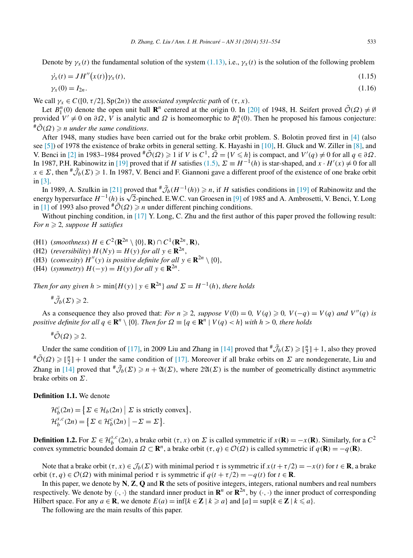Denote by  $\gamma_x(t)$  the fundamental solution of the system [\(1.13\),](#page-1-0) i.e.,  $\gamma_x(t)$  is the solution of the following problem

$$
\dot{\gamma}_x(t) = J H''\big(x(t)\big)\gamma_x(t),\tag{1.15}
$$

$$
\gamma_x(0) = I_{2n}.\tag{1.16}
$$

We call  $\gamma_x \in C([0, \tau/2], Sp(2n))$  the *associated symplectic path* of  $(\tau, x)$ .

Let  $B_1^n(0)$  denote the open unit ball  $\mathbb{R}^n$  centered at the origin 0. In [\[20\]](#page-23-0) of 1948, H. Seifert proved  $\tilde{\mathcal{O}}(\Omega) \neq \emptyset$ provided  $V' \neq 0$  on  $\partial \Omega$ ,  $\overline{V}$  is analytic and  $\Omega$  is homeomorphic to  $B_1^n(0)$ . Then he proposed his famous conjecture:  $^{\#}\tilde{\mathcal{O}}(\Omega) \geqslant n$  *under the same conditions.* 

After 1948, many studies have been carried out for the brake orbit problem. S. Bolotin proved first in [\[4\]](#page-23-0) (also see [\[5\]\)](#page-23-0) of 1978 the existence of brake orbits in general setting. K. Hayashi in [\[10\],](#page-23-0) H. Gluck and W. Ziller in [\[8\],](#page-23-0) and V. Benci in [\[2\]](#page-23-0) in 1983–1984 proved  $\stackrel{\#}{\mathcal{O}}(\Omega) \ge 1$  if *V* is  $C^1$ ,  $\overline{\Omega} = \{V \le h\}$  is compact, and  $V'(q) \ne 0$  for all  $q \in \partial \Omega$ . In 1987, P.H. Rabinowitz in [\[19\]](#page-23-0) proved that if *H* satisfies [\(1.5\),](#page-1-0)  $\Sigma = H^{-1}(h)$  is star-shaped, and  $x \cdot H'(x) \neq 0$  for all  $x \in \Sigma$ , then  $\sqrt[\#]{b}(\Sigma) \geq 1$ . In 1987, V. Benci and F. Giannoni gave a different proof of the existence of one brake orbit in [\[3\].](#page-23-0)

In 1989, A. Szulkin in [\[21\]](#page-23-0) proved that  $\mathcal{F}_{b}(H^{-1}(h)) \geq n$ , if *H* satisfies conditions in [\[19\]](#page-23-0) of Rabinowitz and the In 1989, A. Szulkin in [21] proved that "*J<sub>b</sub>*(*H* +(*h*)) ≥ *n*, if *H* satisfies conditions in [19] of Rabinowitz and the energy hypersurface  $H^{-1}(h)$  is  $\sqrt{2}$ -pinched. E.W.C. van Groesen in [\[9\]](#page-23-0) of 1985 and A. Ambro in [\[1\]](#page-23-0) of 1993 also proved  $\mathbb{H}(\Omega) \geq n$  under different pinching conditions.

Without pinching condition, in [\[17\]](#page-23-0) Y. Long, C. Zhu and the first author of this paper proved the following result:  $For\ n \geqslant 2$ , suppose  $H$  satisfies

(H1) (*smoothness*)  $H \in C^2(\mathbb{R}^{2n} \setminus \{0\}, \mathbb{R}) \cap C^1(\mathbb{R}^{2n}, \mathbb{R})$ ,

(H2) (*reversibility*)  $H(Ny) = H(y)$  *for all*  $y \in \mathbb{R}^{2n}$ ,

(H3) (*convexity*)  $H''(y)$  *is positive definite for all*  $y \in \mathbf{R}^{2n} \setminus \{0\}$ ,

(H4) (*symmetry*)  $H(-y) = H(y)$  *for all*  $y \in \mathbb{R}^{2n}$ .

*Then for any given*  $h > min{H(y) | y \in \mathbb{R}^{2n}}$  *and*  $\Sigma = H^{-1}(h)$ *, there holds* 

 $^{\#}\tilde{\mathcal{J}}_b(\Sigma)\geqslant 2.$ 

As a consequence they also proved that: *For*  $n \ge 2$ *, suppose*  $V(0) = 0$ *,*  $V(q) \ge 0$ *,*  $V(-q) = V(q)$  *and*  $V''(q)$  *is positive definite for all*  $q \in \mathbb{R}^n \setminus \{0\}$ *. Then for*  $\Omega \equiv \{q \in \mathbb{R}^n \mid V(q) < h\}$  *with*  $h > 0$ *, there holds* 

 $^{\#}\tilde{\mathcal{O}}(\Omega)\geqslant 2.$ 

Under the same condition of [\[17\],](#page-23-0) in 2009 Liu and Zhang in [\[14\]](#page-23-0) proved that  $\sqrt[\#]{b}(\Sigma) \geq \lceil \frac{n}{2} \rceil + 1$ , also they proved  $^{\#}\tilde{\mathcal{O}}(\Omega) \geqslant [\frac{n}{2}] + 1$  under the same condition of [\[17\].](#page-23-0) Moreover if all brake orbits on *Σ* are nondegenerate, Liu and Zhang in [\[14\]](#page-23-0) proved that  $^{\#}\tilde{J}_b(\Sigma) \geq n + \mathfrak{A}(\Sigma)$ , where  $2\mathfrak{A}(\Sigma)$  is the number of geometrically distinct asymmetric brake orbits on *Σ*.

**Definition 1.1.** We denote

 $\mathcal{H}_b^c(2n) = \left\{ \Sigma \in \mathcal{H}_b(2n) \mid \Sigma \text{ is strictly convex} \right\},\$  $\mathcal{H}_b^{s,c}(2n) = \left\{ \Sigma \in \mathcal{H}_b^c(2n) \mid -\Sigma = \Sigma \right\}.$ 

**Definition 1.2.** For  $\Sigma \in \mathcal{H}_{b}^{s,c}(2n)$ , a brake orbit  $(\tau, x)$  on  $\Sigma$  is called symmetric if  $x(\mathbf{R}) = -x(\mathbf{R})$ . Similarly, for a  $C^2$ convex symmetric bounded domain  $\Omega \subset \mathbb{R}^n$ , a brake orbit  $(\tau, q) \in \mathcal{O}(\Omega)$  is called symmetric if  $q(\mathbf{R}) = -q(\mathbf{R})$ .

Note that a brake orbit *(τ,x)* ∈ J*b(Σ)* with minimal period *τ* is symmetric if *x(t* +*τ/*2*)* = −*x(t)* for *t* ∈ **R**, a brake orbit *(τ,q)* ∈ O*(Ω)* with minimal period *τ* is symmetric if *q(t* + *τ/*2*)* = −*q(t)* for *t* ∈ **R**.

In this paper, we denote by **N**, **Z**, **Q** and **R** the sets of positive integers, integers, rational numbers and real numbers respectively. We denote by  $\langle \cdot, \cdot \rangle$  the standard inner product in  $\mathbb{R}^n$  or  $\mathbb{R}^{2n}$ , by  $(\cdot, \cdot)$  the inner product of corresponding Hilbert space. For any  $a \in \mathbf{R}$ , we denote  $E(a) = \inf\{k \in \mathbf{Z} \mid k \geq a\}$  and  $[a] = \sup\{k \in \mathbf{Z} \mid k \leq a\}$ .

The following are the main results of this paper.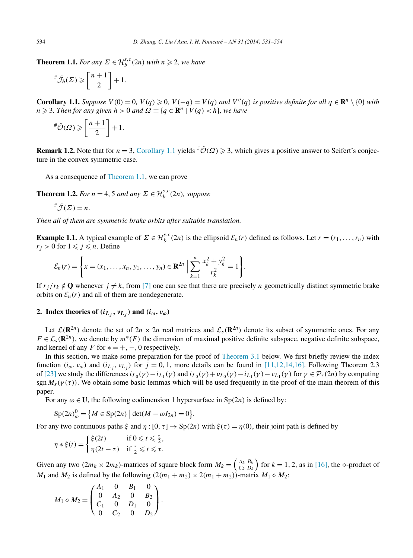<span id="page-3-0"></span>**Theorem 1.1.** *For any*  $\Sigma \in \mathcal{H}_{b}^{s,c}(2n)$  *with*  $n \geq 2$ *, we have* 

$$
\,^{\#}\tilde{\mathcal{J}}_b(\Sigma)\geqslant\left[\frac{n+1}{2}\right]+1.
$$

**Corollary 1.1.** Suppose  $V(0) = 0$ ,  $V(q) \ge 0$ ,  $V(-q) = V(q)$  and  $V''(q)$  is positive definite for all  $q \in \mathbb{R}^n \setminus \{0\}$  with  $n \geq 3$ *. Then for any given h* > 0 *and*  $\Omega \equiv \{q \in \mathbb{R}^n \mid V(q) < h\}$ *, we have* 

$$
\stackrel{\#}{\tilde{\mathcal{O}}}\left(\Omega\right) \geqslant \left[\frac{n+1}{2}\right] + 1.
$$

**Remark 1.2.** Note that for  $n = 3$ , Corollary 1.1 yields  $\mathfrak{p}(\Omega) \geq 3$ , which gives a positive answer to Seifert's conjecture in the convex symmetric case.

As a consequence of Theorem 1.1, we can prove

**Theorem 1.2.** *For*  $n = 4, 5$  *and any*  $\Sigma \in \mathcal{H}_{b}^{s,c}(2n)$ *, suppose* 

$$
\ ^{\#}\tilde{\mathcal{J}}(\Sigma)=n.
$$

*Then all of them are symmetric brake orbits after suitable translation.*

**Example 1.1.** A typical example of  $\Sigma \in H_b^{s,c}(2n)$  is the ellipsoid  $\mathcal{E}_n(r)$  defined as follows. Let  $r = (r_1, \ldots, r_n)$  with  $r_i > 0$  for  $1 \leqslant j \leqslant n$ . Define

$$
\mathcal{E}_n(r) = \left\{ x = (x_1, \ldots, x_n, y_1, \ldots, y_n) \in \mathbf{R}^{2n} \; \Big| \; \sum_{k=1}^n \frac{x_k^2 + y_k^2}{r_k^2} = 1 \right\}.
$$

If  $r_j/r_k \notin \mathbf{Q}$  whenever  $j \neq k$ , from [\[7\]](#page-23-0) one can see that there are precisely *n* geometrically distinct symmetric brake orbits on  $\mathcal{E}_n(r)$  and all of them are nondegenerate.

# **2.** Index theories of  $(i_{L_i}, v_{L_i})$  and  $(i_{\omega}, v_{\omega})$

Let  $\mathcal{L}(\mathbf{R}^{2n})$  denote the set of  $2n \times 2n$  real matrices and  $\mathcal{L}_s(\mathbf{R}^{2n})$  denote its subset of symmetric ones. For any  $F \in \mathcal{L}_s(\mathbf{R}^{2n})$ , we denote by  $m^*(F)$  the dimension of maximal positive definite subspace, negative definite subspace, and kernel of any *F* for  $* = +, -, 0$  respectively.

In this section, we make some preparation for the proof of [Theorem](#page-9-0) 3.1 below. We first briefly review the index function  $(i_{\omega}, v_{\omega})$  and  $(i_{L_i}, v_{L_i})$  for  $j = 0, 1$ , more details can be found in [\[11,12,14,16\].](#page-23-0) Following Theorem 2.3 of [\[23\]](#page-23-0) we study the differences  $i_{L_0}(\gamma) - i_{L_1}(\gamma)$  and  $i_{L_0}(\gamma) + v_{L_0}(\gamma) - i_{L_1}(\gamma) - v_{L_1}(\gamma)$  for  $\gamma \in \mathcal{P}_\tau(2n)$  by computing sgn  $M_{\varepsilon}(\gamma(\tau))$ . We obtain some basic lemmas which will be used frequently in the proof of the main theorem of this paper.

For any  $\omega \in U$ , the following codimension 1 hypersurface in Sp(2*n*) is defined by:

$$
Sp(2n)_{\omega}^{0} = \left\{ M \in Sp(2n) \mid \det(M - \omega I_{2n}) = 0 \right\}.
$$

For any two continuous paths  $\xi$  and  $\eta$ :  $[0, \tau] \to Sp(2n)$  with  $\xi(\tau) = \eta(0)$ , their joint path is defined by

$$
\eta * \xi(t) = \begin{cases} \xi(2t) & \text{if } 0 \leq t \leq \frac{\tau}{2}, \\ \eta(2t - \tau) & \text{if } \frac{\tau}{2} \leq t \leq \tau. \end{cases}
$$

Given any two  $(2m_k \times 2m_k)$ -matrices of square block form  $M_k = \begin{pmatrix} A_k & B_k \\ C_k & D_k \end{pmatrix}$  for  $k = 1, 2$ , as in [\[16\],](#page-23-0) the  $\diamond$ -product of *M*<sub>1</sub> and *M*<sub>2</sub> is defined by the following  $(2(m_1 + m_2) \times 2(m_1 + m_2))$ -matrix  $M_1 \diamond M_2$ :

$$
M_1 \diamond M_2 = \begin{pmatrix} A_1 & 0 & B_1 & 0 \\ 0 & A_2 & 0 & B_2 \\ C_1 & 0 & D_1 & 0 \\ 0 & C_2 & 0 & D_2 \end{pmatrix}.
$$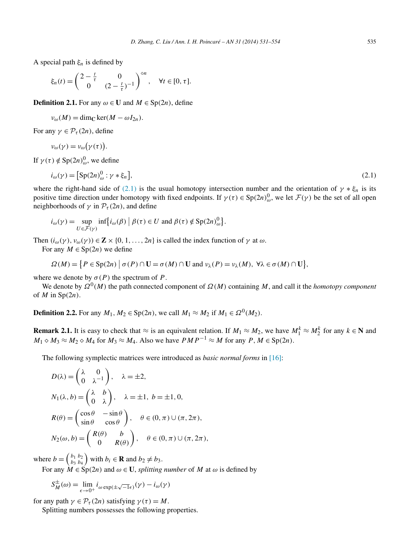<span id="page-4-0"></span>A special path *ξn* is defined by

$$
\xi_n(t) = \begin{pmatrix} 2 - \frac{t}{\tau} & 0 \\ 0 & (2 - \frac{t}{\tau})^{-1} \end{pmatrix}^{\diamond n}, \quad \forall t \in [0, \tau].
$$

**Definition 2.1.** For any  $\omega \in \mathbf{U}$  and  $M \in \text{Sp}(2n)$ , define

$$
\nu_{\omega}(M) = \dim_{\mathbb{C}} \ker(M - \omega I_{2n}).
$$

For any  $\gamma \in \mathcal{P}_{\tau}(2n)$ , define

$$
\nu_{\omega}(\gamma) = \nu_{\omega}(\gamma(\tau)).
$$

If  $\gamma(\tau) \notin \text{Sp}(2n)_{\omega}^0$ , we define

$$
i_{\omega}(\gamma) = \left[\text{Sp}(2n)_{\omega}^{0} : \gamma * \xi_{n}\right],\tag{2.1}
$$

where the right-hand side of (2.1) is the usual homotopy intersection number and the orientation of  $\gamma * \xi_n$  is its positive time direction under homotopy with fixed endpoints. If  $\gamma(\tau) \in \text{Sp}(2n)_{\omega}^0$ , we let  $\mathcal{F}(\gamma)$  be the set of all open neighborhoods of  $\gamma$  in  $\mathcal{P}_{\tau}(2n)$ , and define

$$
i_{\omega}(\gamma) = \sup_{U \in \mathcal{F}(\gamma)} \inf \{ i_{\omega}(\beta) \mid \beta(\tau) \in U \text{ and } \beta(\tau) \notin \text{Sp}(2n)_{\omega}^0 \}.
$$

Then  $(i_{\omega}(\gamma), v_{\omega}(\gamma)) \in \mathbb{Z} \times \{0, 1, \ldots, 2n\}$  is called the index function of  $\gamma$  at  $\omega$ .

For any  $M \in Sp(2n)$  we define

 $\Omega(M) = \{ P \in \text{Sp}(2n) \mid \sigma(P) \cap \mathbf{U} = \sigma(M) \cap \mathbf{U} \text{ and } \nu_{\lambda}(P) = \nu_{\lambda}(M), \forall \lambda \in \sigma(M) \cap \mathbf{U} \},\$ 

where we denote by  $\sigma(P)$  the spectrum of *P*.

We denote by  $\Omega^0(M)$  the path connected component of  $\Omega(M)$  containing M, and call it the *homotopy component* of *M* in Sp*(*2*n)*.

**Definition 2.2.** For any  $M_1, M_2 \in Sp(2n)$ , we call  $M_1 \approx M_2$  if  $M_1 \in \Omega^0(M_2)$ .

**Remark 2.1.** It is easy to check that  $\approx$  is an equivalent relation. If  $M_1 \approx M_2$ , we have  $M_1^k \approx M_2^k$  for any  $k \in \mathbb{N}$  and  $M_1 \diamond M_3 \approx M_2 \diamond M_4$  for  $M_3 \approx M_4$ . Also we have  $PMP^{-1} \approx M$  for any  $P, M \in \text{Sp}(2n)$ .

The following symplectic matrices were introduced as *basic normal forms* in [\[16\]:](#page-23-0)

$$
D(\lambda) = \begin{pmatrix} \lambda & 0 \\ 0 & \lambda^{-1} \end{pmatrix}, \quad \lambda = \pm 2,
$$
  
\n
$$
N_1(\lambda, b) = \begin{pmatrix} \lambda & b \\ 0 & \lambda \end{pmatrix}, \quad \lambda = \pm 1, b = \pm 1, 0,
$$
  
\n
$$
R(\theta) = \begin{pmatrix} \cos \theta & -\sin \theta \\ \sin \theta & \cos \theta \end{pmatrix}, \quad \theta \in (0, \pi) \cup (\pi, 2\pi),
$$
  
\n
$$
N_2(\omega, b) = \begin{pmatrix} R(\theta) & b \\ 0 & R(\theta) \end{pmatrix}, \quad \theta \in (0, \pi) \cup (\pi, 2\pi),
$$

where  $b = \begin{pmatrix} b_1 & b_2 \\ b_3 & b_4 \end{pmatrix}$  with  $b_i \in \mathbf{R}$  and  $b_2 \neq b_3$ .

For any  $\dot{M} \in \text{Sp}(2n)$  and  $\omega \in \mathbf{U}$ , *splitting number* of  $M$  at  $\omega$  is defined by

$$
S_M^{\pm}(\omega) = \lim_{\epsilon \to 0^+} i_{\omega \exp(\pm \sqrt{-1}\epsilon)}(\gamma) - i_{\omega}(\gamma)
$$

for any path  $\gamma \in \mathcal{P}_{\tau}(2n)$  satisfying  $\gamma(\tau) = M$ .

Splitting numbers possesses the following properties.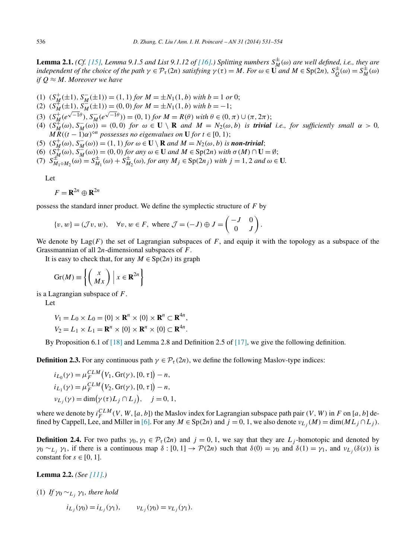<span id="page-5-0"></span>**Lemma 2.1.** *(Cf.* [\[15\],](#page-23-0) Lemma 9.1.5 and List 9.1.12 of [\[16\].](#page-23-0)) Splitting numbers  $S_M^{\pm}(\omega)$  are well defined, i.e., they are independent of the choice of the path  $\gamma \in \mathcal{P}_{\tau}(2n)$  satisfying  $\gamma(\tau) = M$ . For  $\omega \in \mathbf{U}$  and  $M \in \mathrm{Sp}(2n)$ ,  $S_Q^{\pm}(\omega) = S_M^{\pm}(\omega)$ *if*  $Q \approx M$ *. Moreover we have* 

- (1)  $(S_M^+( \pm 1), S_M^-( \pm 1)) = (1, 1)$  *for*  $M = \pm N_1(1, b)$  *with*  $b = 1$  *or* 0;
- $(2)$   $(S_M^{\#}(\pm 1), S_M^{\#}(\pm 1)) = (0, 0)$  *for*  $M = \pm N_1(1, b)$  with  $b = -1$ ;
- (3)  $(S_M^+(e^{\sqrt{-1}\theta}), S_M^-(e^{\sqrt{-1}\theta})) = (0, 1)$  for  $M = R(\theta)$  with  $\theta \in (0, \pi) \cup (\pi, 2\pi)$ ;
- (4)  $(S_M^{\#}(\omega), S_M^{\pi}(\omega)) = (0,0)$  for  $\omega \in \mathbf{U} \setminus \mathbf{R}$  and  $M = N_2(\omega, b)$  is **trivial** i.e., for sufficiently small  $\alpha > 0$ , *MR*( $(t - 1)\alpha$ )<sup>*on*</sup> *possesses no eigenvalues on* **U** *for*  $t \in [0, 1)$ ;
- (5)  $(S_M^+(\omega), S_M^-(\omega)) = (1, 1)$  *for*  $\omega \in \mathbf{U} \setminus \mathbf{R}$  *and*  $M = N_2(\omega, b)$  *is non-trivial*;
- $(6)$   $(S_M^{\#}(\omega), S_M^{\#}(\omega)) = (0,0)$  *for any*  $\omega \in U$  *and*  $M \in Sp(2n)$  *with*  $\sigma(M) \cap U = ∅;$
- (7)  $S_{M_1 \circ M_2}^{\pm n}(\omega) = S_{M_1}^{\pm}(\omega) + S_{M_2}^{\pm}(\omega)$ , for any  $M_j \in \text{Sp}(2n_j)$  with  $j = 1, 2$  and  $\omega \in U$ .

Let

$$
F = \mathbf{R}^{2n} \oplus \mathbf{R}^{2n}
$$

possess the standard inner product. We define the symplectic structure of *F* by

$$
\{v, w\} = (\mathcal{J}v, w), \quad \forall v, w \in F, \text{ where } \mathcal{J} = (-J) \oplus J = \begin{pmatrix} -J & 0 \\ 0 & J \end{pmatrix}.
$$

We denote by  $\text{Lag}(F)$  the set of Lagrangian subspaces of F, and equip it with the topology as a subspace of the Grassmannian of all 2*n*-dimensional subspaces of *F*.

It is easy to check that, for any  $M \in Sp(2n)$  its graph

$$
\operatorname{Gr}(M) \equiv \left\{ \begin{pmatrix} x \\ Mx \end{pmatrix} \middle| x \in \mathbf{R}^{2n} \right\}
$$

is a Lagrangian subspace of *F*.

Let

$$
V_1 = L_0 \times L_0 = \{0\} \times \mathbf{R}^n \times \{0\} \times \mathbf{R}^n \subset \mathbf{R}^{4n},
$$
  

$$
V_2 = L_1 \times L_1 = \mathbf{R}^n \times \{0\} \times \mathbf{R}^n \times \{0\} \subset \mathbf{R}^{4n}.
$$

By Proposition 6.1 of [\[18\]](#page-23-0) and Lemma 2.8 and Definition 2.5 of [\[17\],](#page-23-0) we give the following definition.

**Definition 2.3.** For any continuous path  $\gamma \in \mathcal{P}_\tau(2n)$ , we define the following Maslov-type indices:

$$
i_{L_0}(\gamma) = \mu_F^{CLM}(V_1, \text{Gr}(\gamma), [0, \tau]) - n,
$$
  
\n
$$
i_{L_1}(\gamma) = \mu_F^{CLM}(V_2, \text{Gr}(\gamma), [0, \tau]) - n,
$$
  
\n
$$
v_{L_j}(\gamma) = \dim(\gamma(\tau)L_j \cap L_j), \quad j = 0, 1,
$$

where we denote by  $i_F^{CLM}(V, W, [a, b])$  the Maslov index for Lagrangian subspace path pair  $(V, W)$  in *F* on [*a*, *b*] de-fined by Cappell, Lee, and Miller in [\[6\].](#page-23-0) For any  $M \in Sp(2n)$  and  $j = 0, 1$ , we also denote  $v_{L_i}(M) = \dim(ML_i \cap L_i)$ .

**Definition 2.4.** For two paths  $\gamma_0, \gamma_1 \in \mathcal{P}_\tau(2n)$  and  $j = 0, 1$ , we say that they are  $L_j$ -homotopic and denoted by *γ*<sub>0</sub> ∼*L<sub>i</sub>*</sub> *γ*<sub>1</sub>, if there is a continuous map *δ* : [0, 1] → *P*(2*n*) such that  $δ$ (0) = *γ*<sub>0</sub> and  $δ$ (1) = *γ*<sub>1</sub>, and *ν*<sub>*L*</sub> *(δ(s)*) is constant for  $s \in [0, 1]$ .

**Lemma 2.2.** *(See [\[11\].](#page-23-0))*

(1) *If*  $\gamma_0 \sim_{L_i} \gamma_1$ *, there hold* 

$$
i_{L_j}(\gamma_0) = i_{L_j}(\gamma_1), \qquad v_{L_j}(\gamma_0) = v_{L_j}(\gamma_1).
$$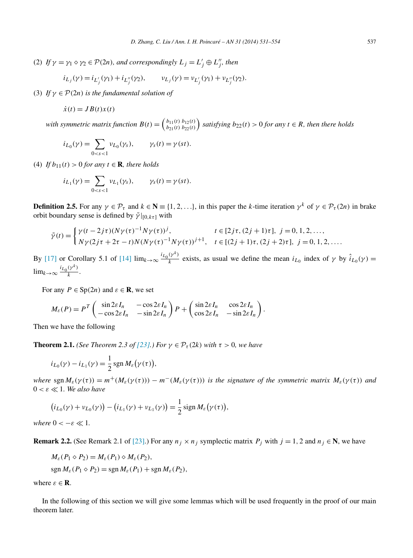<span id="page-6-0"></span>(2) If  $\gamma = \gamma_1 \circ \gamma_2 \in \mathcal{P}(2n)$ *, and correspondingly*  $L_j = L'_j \oplus L''_j$ *, then* 

$$
i_{L_j}(\gamma) = i_{L'_j}(\gamma_1) + i_{L''_j}(\gamma_2), \qquad v_{L_j}(\gamma) = v_{L'_j}(\gamma_1) + v_{L''_j}(\gamma_2).
$$

(3) *If*  $\gamma \in \mathcal{P}(2n)$  *is the fundamental solution of* 

$$
\dot{x}(t) = JB(t)x(t)
$$

with symmetric matrix function  $B(t) = \begin{pmatrix} b_{11}(t) & b_{12}(t) \\ b_{21}(t) & b_{22}(t) \end{pmatrix}$  satisfying  $b_{22}(t) > 0$  for any  $t \in R$ , then there holds

$$
i_{L_0}(\gamma) = \sum_{0 < s < 1} \nu_{L_0}(\gamma_s), \qquad \gamma_s(t) = \gamma(st).
$$

(4) *If*  $b_{11}(t) > 0$  *for any*  $t \in \mathbf{R}$ *, there holds* 

$$
i_{L_1}(\gamma) = \sum_{0 < s < 1} \nu_{L_1}(\gamma_s), \qquad \gamma_s(t) = \gamma(st).
$$

**Definition 2.5.** For any  $\gamma \in \mathcal{P}_{\tau}$  and  $k \in \mathbb{N} \equiv \{1, 2, ...\}$ , in this paper the *k*-time iteration  $\gamma^{k}$  of  $\gamma \in \mathcal{P}_{\tau}(2n)$  in brake orbit boundary sense is defined by  $\tilde{\gamma}|_{[0, k\tau]}$  with

$$
\tilde{\gamma}(t) = \begin{cases} \gamma(t - 2j\tau)(N\gamma(\tau)^{-1}N\gamma(\tau))^j, & t \in [2j\tau, (2j + 1)\tau], j = 0, 1, 2, ..., \\ N\gamma(2j\tau + 2\tau - t)N(N\gamma(\tau)^{-1}N\gamma(\tau))^{j+1}, & t \in [(2j + 1)\tau, (2j + 2)\tau], j = 0, 1, 2, ... \end{cases}
$$

By [\[17\]](#page-23-0) or Corollary 5.1 of [\[14\]](#page-23-0)  $\lim_{k\to\infty} \frac{i_{L_0}(\gamma^k)}{k}$  exists, as usual we define the mean  $i_{L_0}$  index of  $\gamma$  by  $\hat{i}_{L_0}(\gamma)$  =  $\lim_{k \to \infty} \frac{i_{L_0}(\gamma^k)}{k}$ .

For any  $P \in Sp(2n)$  and  $\varepsilon \in \mathbb{R}$ , we set

$$
M_{\varepsilon}(P) = P^T \begin{pmatrix} \sin 2\varepsilon I_n & -\cos 2\varepsilon I_n \\ -\cos 2\varepsilon I_n & -\sin 2\varepsilon I_n \end{pmatrix} P + \begin{pmatrix} \sin 2\varepsilon I_n & \cos 2\varepsilon I_n \\ \cos 2\varepsilon I_n & -\sin 2\varepsilon I_n \end{pmatrix}.
$$

Then we have the following

**Theorem 2.1.** *(See Theorem 2.3 of [\[23\].](#page-23-0)) For*  $\gamma \in \mathcal{P}_{\tau}(2k)$  *with*  $\tau > 0$ *, we have* 

*,*

$$
i_{L_0}(\gamma) - i_{L_1}(\gamma) = \frac{1}{2} \operatorname{sgn} M_{\varepsilon}(\gamma(\tau))
$$

*where* sgn  $M_{\varepsilon}(\gamma(\tau)) = m^+(M_{\varepsilon}(\gamma(\tau))) - m^-(M_{\varepsilon}(\gamma(\tau)))$  *is the signature of the symmetric matrix*  $M_{\varepsilon}(\gamma(\tau))$  *and*  $0 < \varepsilon \ll 1$ *. We also have* 

$$
(i_{L_0}(\gamma) + \nu_{L_0}(\gamma)) - (i_{L_1}(\gamma) + \nu_{L_1}(\gamma)) = \frac{1}{2}\operatorname{sign} M_{\varepsilon}(\gamma(\tau)),
$$

*where*  $0 < -\varepsilon \ll 1$ *.* 

**Remark 2.2.** (See Remark 2.1 of [\[23\].](#page-23-0)) For any  $n_j \times n_j$  symplectic matrix  $P_j$  with  $j = 1, 2$  and  $n_j \in \mathbb{N}$ , we have

$$
M_{\varepsilon}(P_1 \diamond P_2) = M_{\varepsilon}(P_1) \diamond M_{\varepsilon}(P_2),
$$

$$
\operatorname{sgn} M_{\varepsilon}(P_1 \diamond P_2) = \operatorname{sgn} M_{\varepsilon}(P_1) + \operatorname{sgn} M_{\varepsilon}(P_2),
$$

where  $\varepsilon \in \mathbf{R}$ .

In the following of this section we will give some lemmas which will be used frequently in the proof of our main theorem later.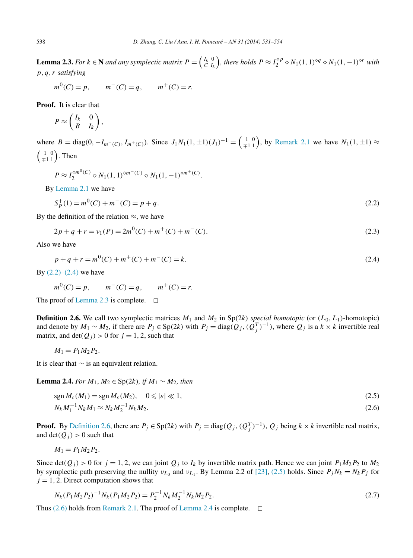<span id="page-7-0"></span>**Lemma 2.3.** For  $k \in \mathbb{N}$  and any symplectic matrix  $P = \begin{pmatrix} I_k & 0 \\ C & I_k \end{pmatrix}$ , there holds  $P \approx I_2^{\diamond p} \diamond N_1(1, 1)^{\diamond q} \diamond N_1(1, -1)^{\diamond r}$  with *p,q,r satisfying*

 $m^{0}(C) = p$ ,  $m^{-}(C) = q$ ,  $m^{+}(C) = r$ .

**Proof.** It is clear that

$$
P \approx \begin{pmatrix} I_k & 0 \\ B & I_k \end{pmatrix},
$$

where  $B = \text{diag}(0, -I_{m^-(C)}, I_{m^+(C)})$ . Since  $J_1N_1(1, \pm 1)(J_1)^{-1} = \begin{pmatrix} 1 & 0 \\ \mp 1 & 1 \end{pmatrix}$ , by [Remark 2.1](#page-4-0) we have  $N_1(1, \pm 1) \approx$  $\left(\begin{smallmatrix} 1 & 0 \\ \mp 1 & 1 \end{smallmatrix}\right)$ . Then

$$
P \approx I_2^{\diamond m^0(C)} \diamond N_1(1, 1)^{\diamond m^-(C)} \diamond N_1(1, -1)^{\diamond m^+(C)}.
$$

By [Lemma 2.1](#page-5-0) we have

$$
S_P^+(1) = m^0(C) + m^-(C) = p + q.
$$
\n(2.2)

By the definition of the relation  $\approx$ , we have

$$
2p + q + r = \nu_1(P) = 2m^0(C) + m^+(C) + m^-(C). \tag{2.3}
$$

Also we have

$$
p + q + r = m^{0}(C) + m^{+}(C) + m^{-}(C) = k.
$$
\n(2.4)

By  $(2.2)$ – $(2.4)$  we have

$$
m^0(C) = p
$$
,  $m^-(C) = q$ ,  $m^+(C) = r$ .

The proof of Lemma 2.3 is complete.  $\Box$ 

**Definition 2.6.** We call two symplectic matrices  $M_1$  and  $M_2$  in Sp(2*k) special homotopic* (or  $(L_0, L_1)$ -homotopic) and denote by  $M_1 \sim M_2$ , if there are  $P_j \in Sp(2k)$  with  $P_j = diag(Q_j, (Q_j^T)^{-1})$ , where  $Q_j$  is a  $k \times k$  invertible real matrix, and  $\det(Q_i) > 0$  for  $j = 1, 2$ , such that

$$
M_1 = P_1 M_2 P_2.
$$

It is clear that ∼ is an equivalent relation.

**Lemma 2.4.** *For*  $M_1, M_2 \in Sp(2k)$ *, if*  $M_1 \sim M_2$ *, then* 

$$
\operatorname{sgn} M_{\varepsilon}(M_1) = \operatorname{sgn} M_{\varepsilon}(M_2), \quad 0 \leqslant |\varepsilon| \ll 1,
$$
\n
$$
(2.5)
$$

$$
N_k M_1^{-1} N_k M_1 \approx N_k M_2^{-1} N_k M_2. \tag{2.6}
$$

**Proof.** By Definition 2.6, there are  $P_j \in Sp(2k)$  with  $P_j = \text{diag}(Q_j, (Q_j^T)^{-1})$ ,  $Q_j$  being  $k \times k$  invertible real matrix, and det $(Q_i) > 0$  such that

$$
M_1=P_1M_2P_2.
$$

Since det( $Q_i$ ) > 0 for  $j = 1, 2$ , we can joint  $Q_i$  to  $I_k$  by invertible matrix path. Hence we can joint  $P_1 M_2 P_2$  to  $M_2$ by symplectic path preserving the nullity  $v_{L_0}$  and  $v_{L_1}$ . By Lemma 2.2 of [\[23\],](#page-23-0) (2.5) holds. Since  $P_jN_k = N_kP_j$  for  $j = 1, 2$ . Direct computation shows that

$$
N_k(P_1M_2P_2)^{-1}N_k(P_1M_2P_2) = P_2^{-1}N_kM_2^{-1}N_kM_2P_2.
$$
\n(2.7)

Thus  $(2.6)$  holds from [Remark 2.1.](#page-4-0) The proof of Lemma 2.4 is complete.  $\Box$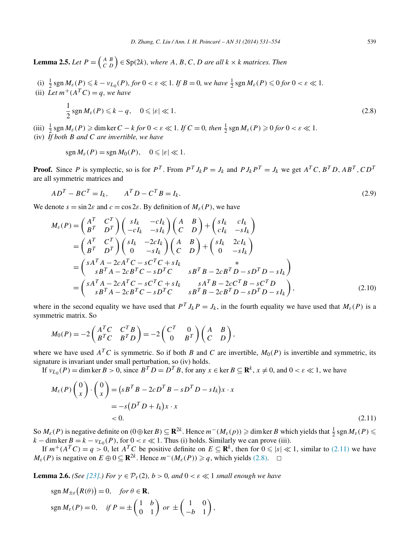<span id="page-8-0"></span>**Lemma 2.5.** *Let*  $P = \begin{pmatrix} A & B \\ C & D \end{pmatrix} \in Sp(2k)$ , where A, B, C, D are all  $k \times k$  matrices. Then

(i)  $\frac{1}{2}$  sgn  $M_{\varepsilon}(P) \leq k - \nu_{L_0}(P)$ , for  $0 < \varepsilon \ll 1$ . If  $B = 0$ , we have  $\frac{1}{2}$  sgn  $M_{\varepsilon}(P) \leq 0$  for  $0 < \varepsilon \ll 1$ . (ii) Let  $m^+(A^TC) = q$ , we have

$$
\frac{1}{2}\operatorname{sgn} M_{\varepsilon}(P) \leqslant k - q, \quad 0 \leqslant |\varepsilon| \ll 1. \tag{2.8}
$$

- (iii)  $\frac{1}{2}$  sgn  $M_{\varepsilon}(P) \ge \dim \ker C k$  *for*  $0 < \varepsilon \ll 1$ . If  $C = 0$ , then  $\frac{1}{2}$  sgn  $M_{\varepsilon}(P) \ge 0$  *for*  $0 < \varepsilon \ll 1$ .
- (iv) *If both B and C are invertible, we have*

$$
\operatorname{sgn} M_{\varepsilon}(P) = \operatorname{sgn} M_0(P), \quad 0 \leqslant |\varepsilon| \ll 1.
$$

**Proof.** Since P is symplectic, so is for  $P^T$ . From  $P^T J_k P = J_k$  and  $P J_k P^T = J_k$  we get  $A^T C$ ,  $B^T D$ ,  $AB^T$ ,  $CD^T$ are all symmetric matrices and

$$
ADT - BCT = Ik, \qquad ATD - CTB = Ik.
$$
\n(2.9)

We denote  $s = \sin 2\varepsilon$  and  $c = \cos 2\varepsilon$ . By definition of  $M_\varepsilon(P)$ , we have

$$
M_{\varepsilon}(P) = \begin{pmatrix} A^{T} & C^{T} \\ B^{T} & D^{T} \end{pmatrix} \begin{pmatrix} sI_{k} & -cI_{k} \\ -cI_{k} & -sI_{k} \end{pmatrix} \begin{pmatrix} A & B \\ C & D \end{pmatrix} + \begin{pmatrix} sI_{k} & cI_{k} \\ cI_{k} & -sI_{k} \end{pmatrix}
$$
  
\n
$$
= \begin{pmatrix} A^{T} & C^{T} \\ B^{T} & D^{T} \end{pmatrix} \begin{pmatrix} sI_{k} & -2cI_{k} \\ 0 & -sI_{k} \end{pmatrix} \begin{pmatrix} A & B \\ C & D \end{pmatrix} + \begin{pmatrix} sI_{k} & 2cI_{k} \\ 0 & -sI_{k} \end{pmatrix}
$$
  
\n
$$
= \begin{pmatrix} sA^{T}A - 2cA^{T}C - sC^{T}C + sI_{k} & sB^{T}B - 2cB^{T}D - sD^{T}D - sI_{k} \\ sB^{T}A - 2cA^{T}C - sC^{T}C + sI_{k} & sA^{T}B - 2cC^{T}B - sC^{T}D \\ sB^{T}A - 2cB^{T}C - sD^{T}C & sB^{T}B - 2cB^{T}D - sD^{T}D - sI_{k} \end{pmatrix},
$$
\n(2.10)

where in the second equality we have used that  $P^T J_k P = J_k$ , in the fourth equality we have used that  $M_{\varepsilon}(P)$  is a symmetric matrix. So

$$
M_0(P) = -2\begin{pmatrix} A^T C & C^T B \\ B^T C & B^T D \end{pmatrix} = -2\begin{pmatrix} C^T & 0 \\ 0 & B^T \end{pmatrix} \begin{pmatrix} A & B \\ C & D \end{pmatrix},
$$

where we have used  $A^T C$  is symmetric. So if both *B* and *C* are invertible,  $M_0(P)$  is invertible and symmetric, its signature is invariant under small perturbation, so (iv) holds.

If  $v_{L_0}(P) = \dim \ker B > 0$ , since  $B^T D = D^T B$ , for any  $x \in \ker B \subseteq \mathbb{R}^k$ ,  $x \neq 0$ , and  $0 < \varepsilon \ll 1$ , we have

$$
M_{\varepsilon}(P)\binom{0}{x}\cdot\binom{0}{x} = (sB^TB - 2cD^TB - sD^TD - sI_k)x \cdot x
$$
  
=  $-s(D^TD + I_k)x \cdot x$   
< 0. (2.11)

So  $M_{\varepsilon}(P)$  is negative definite on  $(0 \oplus \ker B) \subseteq \mathbf{R}^{2k}$ . Hence  $m^-(M_{\varepsilon}(p)) \geqslant \dim \ker B$  which yields that  $\frac{1}{2}$  sgn  $M_{\varepsilon}(P) \leqslant$  $k - \dim \ker B = k - \nu_{L_0}(P)$ , for  $0 < \varepsilon \ll 1$ . Thus (i) holds. Similarly we can prove (iii).

If  $m^+(A^TC) = q > 0$ , let  $A^TC$  be positive definite on  $E \subseteq \mathbb{R}^k$ , then for  $0 \le |s| \ll 1$ , similar to (2.11) we have *M<sub>ε</sub>*(*P*) is negative on  $E \oplus 0 \subseteq \mathbb{R}^{2k}$ . Hence  $m^-(M_{\varepsilon}(P)) \geq q$ , which yields (2.8).  $\Box$ 

**Lemma 2.6.** *(See [\[23\].](#page-23-0)) For*  $\gamma \in \mathcal{P}_{\tau}(2)$ *, b > 0, and*  $0 < \varepsilon \ll 1$  *small enough we have* 

$$
sgn M_{\pm \varepsilon}(R(\theta)) = 0, \quad \text{for } \theta \in \mathbf{R},
$$
  
\n
$$
sgn M_{\varepsilon}(P) = 0, \quad \text{if } P = \pm \begin{pmatrix} 1 & b \\ 0 & 1 \end{pmatrix} \text{ or } \pm \begin{pmatrix} 1 & 0 \\ -b & 1 \end{pmatrix},
$$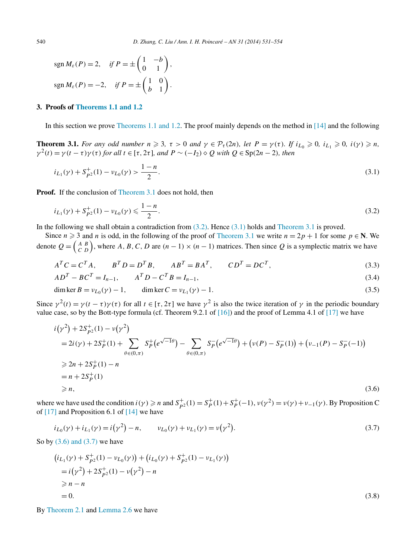<span id="page-9-0"></span>
$$
sgn M_{\varepsilon}(P) = 2, \quad \text{if } P = \pm \begin{pmatrix} 1 & -b \\ 0 & 1 \end{pmatrix},
$$

$$
sgn M_{\varepsilon}(P) = -2, \quad \text{if } P = \pm \begin{pmatrix} 1 & 0 \\ b & 1 \end{pmatrix}.
$$

### **3. Proofs of [Theorems 1.1 and 1.2](#page-3-0)**

In this section we prove [Theorems 1.1 and 1.2.](#page-3-0) The proof mainly depends on the method in [\[14\]](#page-23-0) and the following

**Theorem 3.1.** For any odd number  $n \ge 3$ ,  $\tau > 0$  and  $\gamma \in \mathcal{P}_{\tau}(2n)$ , let  $P = \gamma(\tau)$ . If  $i_{L_0} \ge 0$ ,  $i_{L_1} \ge 0$ ,  $i(\gamma) \ge n$ ,  $\gamma^2(t) = \gamma(t-\tau)\gamma(\tau)$  for all  $t \in [\tau, 2\tau]$ , and  $P \sim (-I_2) \diamond Q$  with  $Q \in \text{Sp}(2n-2)$ , then

$$
i_{L_1}(\gamma) + S_{p2}^+(1) - \nu_{L_0}(\gamma) > \frac{1-n}{2}.\tag{3.1}
$$

**Proof.** If the conclusion of Theorem 3.1 does not hold, then

$$
i_{L_1}(\gamma) + S_{p^2}^+(1) - \nu_{L_0}(\gamma) \leqslant \frac{1-n}{2}.\tag{3.2}
$$

In the following we shall obtain a contradiction from  $(3.2)$ . Hence  $(3.1)$  holds and Theorem 3.1 is proved.

Since  $n \ge 3$  and *n* is odd, in the following of the proof of Theorem 3.1 we write  $n = 2p + 1$  for some  $p \in \mathbb{N}$ . We denote  $Q = \begin{pmatrix} A & B \\ C & D \end{pmatrix}$ , where A, B, C, D are  $(n-1) \times (n-1)$  matrices. Then since Q is a symplectic matrix we have

$$
ATC = CTA, \t BTD = DTB, \t ABT = BAT, \t CDT = DCT,
$$
\t(3.3)

$$
ADT - BCT = In-1, \t AT D - CT B = In-1,
$$
\t(3.4)

dim ker 
$$
B = \nu_{L_0}(\gamma) - 1
$$
, dim ker  $C = \nu_{L_1}(\gamma) - 1$ . (3.5)

Since  $\gamma^2(t) = \gamma(t - \tau)\gamma(\tau)$  for all  $t \in [\tau, 2\tau]$  we have  $\gamma^2$  is also the twice iteration of  $\gamma$  in the periodic boundary value case, so by the Bott-type formula (cf. Theorem 9.2.1 of  $[16]$ ) and the proof of Lemma 4.1 of  $[17]$  we have

$$
i(\gamma^{2}) + 2S_{P^{2}}^{+}(1) - v(\gamma^{2})
$$
  
= 2i(\gamma) + 2S\_{P}^{+}(1) + \sum\_{\theta \in (0,\pi)} S\_{P}^{+}(e^{\sqrt{-1}\theta}) - \sum\_{\theta \in (0,\pi)} S\_{P}^{-}(e^{\sqrt{-1}\theta}) + (v(P) - S\_{P}^{-}(1)) + (v\_{-1}(P) - S\_{P}^{-}(-1))  
\ge 2n + 2S\_{P}^{+}(1) - n  
= n + 2S\_{P}^{+}(1)  
\ge n, (3.6)

where we have used the condition  $i(\gamma) \ge n$  and  $S_{p^2}^+(1) = S_p^+(1) + S_p^+(-1)$ ,  $\nu(\gamma^2) = \nu(\gamma) + \nu_{-1}(\gamma)$ . By Proposition C of  $[17]$  and Proposition 6.1 of  $[14]$  we have

$$
i_{L_0}(\gamma) + i_{L_1}(\gamma) = i(\gamma^2) - n, \qquad \nu_{L_0}(\gamma) + \nu_{L_1}(\gamma) = \nu(\gamma^2). \tag{3.7}
$$

So by  $(3.6)$  and  $(3.7)$  we have

$$
(i_{L_1}(\gamma) + S_{p2}^+(1) - \nu_{L_0}(\gamma)) + (i_{L_0}(\gamma) + S_{p2}^+(1) - \nu_{L_1}(\gamma))
$$
  
=  $i(\gamma^2) + 2S_{p2}^+(1) - \nu(\gamma^2) - n$   
 $\ge n - n$   
= 0. (3.8)

By [Theorem 2.1](#page-6-0) and [Lemma 2.6](#page-8-0) we have

$$
(3.8)
$$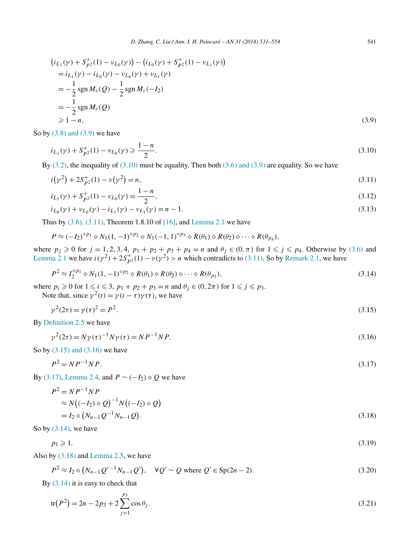<span id="page-10-0"></span>
$$
(i_{L_1}(\gamma) + S_{p2}^+(1) - \nu_{L_0}(\gamma)) - (i_{L_0}(\gamma) + S_{p2}^+(1) - \nu_{L_1}(\gamma))
$$
  
=  $i_{L_1}(\gamma) - i_{L_0}(\gamma) - \nu_{L_0}(\gamma) + \nu_{L_1}(\gamma)$   
=  $-\frac{1}{2}$ sgn $M_\varepsilon(Q) - \frac{1}{2}$ sgn $M_\varepsilon(-I_2)$   
=  $-\frac{1}{2}$ sgn $M_\varepsilon(Q)$   
 $\geq 1 - n.$  (3.9)

So by  $(3.8)$  and  $(3.9)$  we have

$$
i_{L_1}(\gamma) + S_{p2}^+(1) - \nu_{L_0}(\gamma) \ge \frac{1-n}{2}.\tag{3.10}
$$

By  $(3.2)$ , the inequality of  $(3.10)$  must be equality. Then both  $(3.6)$  and  $(3.9)$  are equality. So we have

$$
i(\gamma^2) + 2S_{p^2}^+(1) - v(\gamma^2) = n,\tag{3.11}
$$

$$
i_{L_1}(\gamma) + S_{p^2}^+(1) - \nu_{L_0}(\gamma) = \frac{1-n}{2},\tag{3.12}
$$

$$
i_{L_0}(\gamma) + \nu_{L_0}(\gamma) - i_{L_1}(\gamma) - \nu_{L_1}(\gamma) = n - 1.
$$
\n(3.13)

Thus by  $(3.6)$ ,  $(3.11)$ , Theorem 1.8.10 of [\[16\],](#page-23-0) and [Lemma 2.1](#page-5-0) we have

$$
P \approx (-I_2)^{\diamond p_1} \diamond N_1(1,-1)^{\diamond p_2} \diamond N_1(-1,1)^{\diamond p_3} \diamond R(\theta_1) \diamond R(\theta_2) \diamond \cdots \diamond R(\theta_{p_4}),
$$

where  $p_j \ge 0$  for  $j = 1, 2, 3, 4$ ,  $p_1 + p_2 + p_3 + p_4 = n$  and  $\theta_j \in (0, \pi)$  for  $1 \le j \le p_4$ . Otherwise by [\(3.6\)](#page-9-0) and [Lemma 2.1](#page-5-0) we have  $i(\gamma^2) + 2S_{p^2}^+(1) - v(\gamma^2) > n$  which contradicts to (3.11). So by [Remark 2.1,](#page-4-0) we have

$$
P^2 \approx I_2^{\diamond p_1} \diamond N_1(1, -1)^{\diamond p_2} \diamond R(\theta_1) \diamond R(\theta_2) \diamond \cdots \diamond R(\theta_{p_3}),
$$
\n(3.14)

where  $p_i \geq 0$  for  $1 \leq i \leq 3$ ,  $p_1 + p_2 + p_3 = n$  and  $\theta_j \in (0, 2\pi)$  for  $1 \leq j \leq p_3$ .

Note that, since  $\gamma^2(t) = \gamma(t-\tau)\gamma(\tau)$ , we have

$$
\gamma^2(2\tau) = \gamma(\tau)^2 = P^2. \tag{3.15}
$$

By [Definition 2.5](#page-6-0) we have

$$
\gamma^{2}(2\tau) = N\gamma(\tau)^{-1}N\gamma(\tau) = NP^{-1}NP.
$$
\n(3.16)

So by (3.15) and (3.16) we have

$$
P^2 = NP^{-1}NP. \tag{3.17}
$$

By (3.17), [Lemma 2.4,](#page-7-0) and  $P \sim (-I_2) \diamond Q$  we have

$$
P^{2} = NP^{-1} NP
$$
  
\n
$$
\approx N((-I_{2}) \diamond Q)^{-1} N((-I_{2}) \diamond Q)
$$
  
\n
$$
= I_{2} \diamond (N_{n-1} Q^{-1} N_{n-1} Q).
$$
\n(3.18)

So by  $(3.14)$ , we have

 $p_1 \geqslant 1$ .  $\geqslant 1.$  (3.19)

Also by (3.18) and [Lemma 2.5,](#page-8-0) we have

$$
P^2 \approx I_2 \diamond (N_{n-1}Q'^{-1}N_{n-1}Q'), \quad \forall Q' \sim Q \text{ where } Q' \in \text{Sp}(2n-2). \tag{3.20}
$$

By (3.14) it is easy to check that

$$
tr(P2) = 2n - 2p3 + 2\sum_{j=1}^{p_3} cos\theta_j.
$$
 (3.21)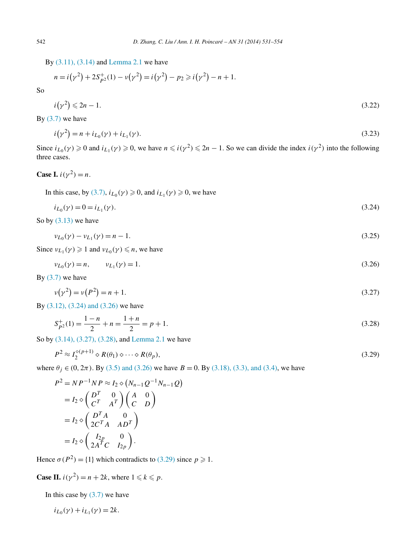<span id="page-11-0"></span>By [\(3.11\), \(3.14\)](#page-10-0) and [Lemma 2.1](#page-5-0) we have

$$
n = i(\gamma^{2}) + 2S_{P^{2}}^{+}(1) - \nu(\gamma^{2}) = i(\gamma^{2}) - p_{2} \geq i(\gamma^{2}) - n + 1.
$$

$$
i(\gamma^2) \leq 2n - 1. \tag{3.22}
$$

By  $(3.7)$  we have

$$
i(\gamma^2) = n + i_{L_0}(\gamma) + i_{L_1}(\gamma). \tag{3.23}
$$

Since  $i_{L_0}(\gamma) \ge 0$  and  $i_{L_1}(\gamma) \ge 0$ , we have  $n \le i(\gamma^2) \le 2n - 1$ . So we can divide the index  $i(\gamma^2)$  into the following three cases.

Case I. 
$$
i(\gamma^2) = n
$$
.

In this case, by [\(3.7\),](#page-9-0)  $i_{L_0}(\gamma) \ge 0$ , and  $i_{L_1}(\gamma) \ge 0$ , we have

$$
i_{L_0}(\gamma) = 0 = i_{L_1}(\gamma). \tag{3.24}
$$

So by  $(3.13)$  we have

$$
\nu_{L_0}(\gamma) - \nu_{L_1}(\gamma) = n - 1. \tag{3.25}
$$

Since  $\nu_{L_1}(\gamma) \geq 1$  and  $\nu_{L_0}(\gamma) \leq n$ , we have

 $v_{L_0}(\gamma) = n, \qquad v_{L_1}(\gamma) = 1.$  (3.26)

By  $(3.7)$  we have

$$
\nu(\gamma^2) = \nu(P^2) = n + 1. \tag{3.27}
$$

By [\(3.12\), \(3.24\) and \(3.26\)](#page-10-0) we have

$$
S_{p^2}^+(1) = \frac{1-n}{2} + n = \frac{1+n}{2} = p+1.
$$
\n(3.28)

So by [\(3.14\), \(3.27\), \(3.28\),](#page-10-0) and [Lemma 2.1](#page-5-0) we have

$$
P^2 \approx I_2^{\diamond (p+1)} \diamond R(\theta_1) \diamond \cdots \diamond R(\theta_p),\tag{3.29}
$$

where  $\theta_i \in (0, 2\pi)$ . By [\(3.5\) and \(3.26\)](#page-9-0) we have  $B = 0$ . By [\(3.18\), \(3.3\), and \(3.4\),](#page-10-0) we have

$$
P^2 = NP^{-1}NP \approx I_2 \diamond (N_{n-1}Q^{-1}N_{n-1}Q)
$$
  
=  $I_2 \diamond \begin{pmatrix} D^T & 0 \\ C^T & A^T \end{pmatrix} \begin{pmatrix} A & 0 \\ C & D \end{pmatrix}$   
=  $I_2 \diamond \begin{pmatrix} D^T A & 0 \\ 2C^T A & A D^T \end{pmatrix}$   
=  $I_2 \diamond \begin{pmatrix} I_{2p} & 0 \\ 2A^T C & I_{2p} \end{pmatrix}$ .

Hence  $\sigma(P^2) = \{1\}$  which contradicts to (3.29) since  $p \ge 1$ .

**Case II.**  $i(y^2) = n + 2k$ , where  $1 \le k \le p$ .

In this case by  $(3.7)$  we have

$$
i_{L_0}(\gamma) + i_{L_1}(\gamma) = 2k.
$$

So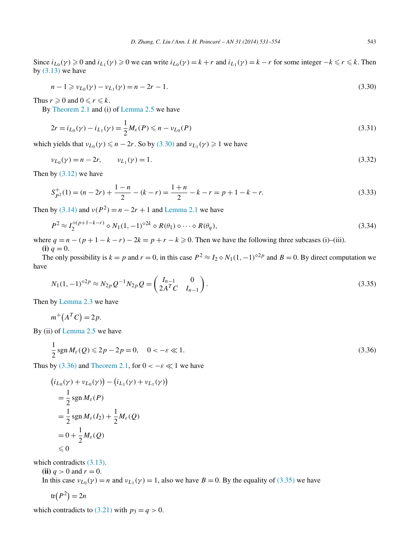<span id="page-12-0"></span>Since  $i_{L_0}(\gamma) \ge 0$  and  $i_{L_1}(\gamma) \ge 0$  we can write  $i_{L_0}(\gamma) = k + r$  and  $i_{L_1}(\gamma) = k - r$  for some integer  $-k \le r \le k$ . Then by  $(3.13)$  we have

$$
n - 1 \geq v_{L_0}(\gamma) - v_{L_1}(\gamma) = n - 2r - 1. \tag{3.30}
$$

Thus  $r \geqslant 0$  and  $0 \leqslant r \leqslant k$ .

By [Theorem](#page-6-0) 2.1 and (i) of [Lemma 2.5](#page-8-0) we have

$$
2r = i_{L_0}(\gamma) - i_{L_1}(\gamma) = \frac{1}{2}M_{\varepsilon}(P) \le n - \nu_{L_0}(P)
$$
\n(3.31)

which yields that  $v_{L_0}(\gamma) \le n - 2r$ . So by (3.30) and  $v_{L_1}(\gamma) \ge 1$  we have

$$
\nu_{L_0}(\gamma) = n - 2r, \qquad \nu_{L_1}(\gamma) = 1. \tag{3.32}
$$

Then by [\(3.12\)](#page-10-0) we have

$$
S_{p2}^{+}(1) = (n - 2r) + \frac{1 - n}{2} - (k - r) = \frac{1 + n}{2} - k - r = p + 1 - k - r.
$$
\n(3.33)

Then by [\(3.14\)](#page-10-0) and  $v(P^2) = n - 2r + 1$  and [Lemma 2.1](#page-5-0) we have

$$
P^2 \approx I_2^{\diamond (p+1-k-r)} \diamond N_1(1,-1)^{\diamond 2k} \diamond R(\theta_1) \diamond \cdots \diamond R(\theta_q),
$$
\n(3.34)

where  $q = n - (p + 1 - k - r) - 2k = p + r - k \ge 0$ . Then we have the following three subcases (i)–(iii). **(i)**  $q = 0$ .

The only possibility is  $k = p$  and  $r = 0$ , in this case  $P^2 \approx I_2 \diamond N_1(1, -1)^{\diamond 2p}$  and  $B = 0$ . By direct computation we have

$$
N_1(1,-1)^{2p} \approx N_{2p} Q^{-1} N_{2p} Q = \begin{pmatrix} I_{n-1} & 0 \\ 2A^T C & I_{n-1} \end{pmatrix}.
$$
 (3.35)

Then by [Lemma 2.3](#page-7-0) we have

$$
m^+(A^TC)=2p.
$$

By (ii) of [Lemma 2.5](#page-8-0) we have

 $\mathbf{1}$ 

$$
\frac{1}{2}\operatorname{sgn} M_{\varepsilon}(Q) \leq 2p - 2p = 0, \quad 0 < -\varepsilon \ll 1.
$$
 (3.36)

Thus by (3.36) and [Theorem 2.1,](#page-6-0) for  $0 < -\epsilon \ll 1$  we have

$$
(i_{L_0}(\gamma) + \nu_{L_0}(\gamma)) - (i_{L_1}(\gamma) + \nu_{L_1}(\gamma))
$$
  
=  $\frac{1}{2}$ sgn  $M_{\varepsilon}(P)$   
=  $\frac{1}{2}$ sgn  $M_{\varepsilon}(I_2) + \frac{1}{2}M_{\varepsilon}(Q)$   
=  $0 + \frac{1}{2}M_{\varepsilon}(Q)$   
 $\leq 0$ 

which contradicts  $(3.13)$ .

**(ii)**  $q > 0$  and  $r = 0$ .

In this case  $v_{L_0}(\gamma) = n$  and  $v_{L_1}(\gamma) = 1$ , also we have  $B = 0$ . By the equality of (3.35) we have

$$
tr(P^2) = 2n
$$

which contradicts to [\(3.21\)](#page-10-0) with  $p_3 = q > 0$ .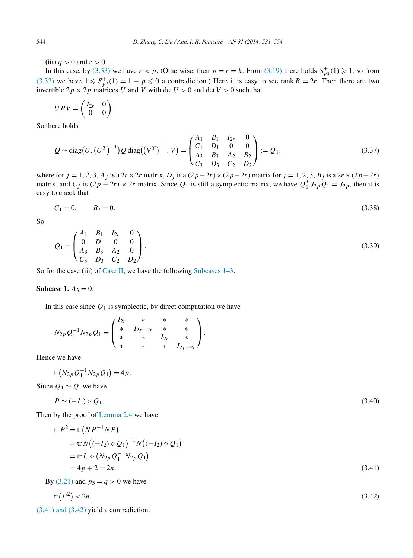<span id="page-13-0"></span>**(iii)**  $q > 0$  and  $r > 0$ .

In this case, by [\(3.33\)](#page-12-0) we have  $r < p$ . (Otherwise, then  $p = r = k$ . From [\(3.19\)](#page-10-0) there holds  $S_{p^2}^+(1) \ge 1$ , so from [\(3.33\)](#page-12-0) we have  $1 \leq S_{p^2}^+(1) = 1 - p \leq 0$  a contradiction.) Here it is easy to see rank  $B = 2r$ . Then there are two invertible  $2p \times 2p$  matrices *U* and *V* with det  $U > 0$  and det  $V > 0$  such that

$$
UBV = \begin{pmatrix} I_{2r} & 0 \\ 0 & 0 \end{pmatrix}.
$$

So there holds

$$
Q \sim \text{diag}(U, (U^T)^{-1}) Q \text{ diag}((V^T)^{-1}, V) = \begin{pmatrix} A_1 & B_1 & I_{2r} & 0 \\ C_1 & D_1 & 0 & 0 \\ A_3 & B_3 & A_2 & B_2 \\ C_3 & D_3 & C_2 & D_2 \end{pmatrix} := Q_1,\tag{3.37}
$$

where for  $j = 1, 2, 3, A_j$  is a  $2r \times 2r$  matrix,  $D_j$  is a  $(2p - 2r) \times (2p - 2r)$  matrix for  $j = 1, 2, 3, B_j$  is a  $2r \times (2p - 2r)$ matrix, and  $C_j$  is  $(2p - 2r) \times 2r$  matrix. Since  $Q_1$  is still a symplectic matrix, we have  $Q_1^T J_{2p} Q_1 = J_{2p}$ , then it is easy to check that

$$
C_1 = 0, \qquad B_2 = 0. \tag{3.38}
$$

So

$$
Q_1 = \begin{pmatrix} A_1 & B_1 & I_{2r} & 0 \\ 0 & D_1 & 0 & 0 \\ A_3 & B_3 & A_2 & 0 \\ C_3 & D_3 & C_2 & D_2 \end{pmatrix}.
$$
 (3.39)

So for the case (iii) of [Case II,](#page-11-0) we have the following Subcases  $1-3$ .

## **Subcase 1.**  $A_3 = 0$ .

In this case since  $Q_1$  is symplectic, by direct computation we have

$$
N_{2p}Q_1^{-1}N_{2p}Q_1 = \begin{pmatrix} I_{2r} & * & * & * \\ * & I_{2p-2r} & * & * \\ * & * & I_{2r} & * \\ * & * & * & I_{2p-2r} \end{pmatrix}.
$$

Hence we have

$$
\text{tr}(N_{2p}Q_1^{-1}N_{2p}Q_1)=4p.
$$

Since  $Q_1 \sim Q$ , we have

$$
P \sim (-I_2) \diamond Q_1. \tag{3.40}
$$

Then by the proof of [Lemma 2.4](#page-7-0) we have

$$
\begin{aligned} \n\text{tr } P^2 &= \text{tr}(NP^{-1}NP) \\ \n&= \text{tr } N\big((-I_2) \diamond Q_1\big)^{-1} N\big((-I_2) \diamond Q_1\big) \\ \n&= \text{tr } I_2 \diamond \big(N_{2p} Q_1^{-1} N_{2p} Q_1\big) \\ \n&= 4p + 2 = 2n. \n\end{aligned} \tag{3.41}
$$

By [\(3.21\)](#page-10-0) and  $p_3 = q > 0$  we have

$$
\operatorname{tr}(P^2) < 2n. \tag{3.42}
$$

(3.41) and (3.42) yield a contradiction.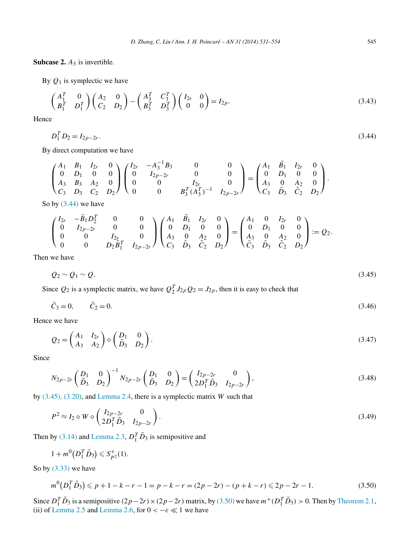**Subcase 2.** *A*<sup>3</sup> is invertible.

By  $Q_1$  is symplectic we have

$$
\begin{pmatrix} A_1^T & 0 \ B_1^T & D_1^T \end{pmatrix} \begin{pmatrix} A_2 & 0 \ C_2 & D_2 \end{pmatrix} - \begin{pmatrix} A_3^T & C_3^T \ B_3^T & D_3^T \end{pmatrix} \begin{pmatrix} I_{2r} & 0 \ 0 & 0 \end{pmatrix} = I_{2p}.
$$
 (3.43)

Hence

$$
D_1^T D_2 = I_{2p-2r}.
$$
\n(3.44)

By direct computation we have

$$
\begin{pmatrix} A_1 & B_1 & I_{2r} & 0 \ 0 & D_1 & 0 & 0 \ A_3 & B_3 & A_2 & 0 \ C_3 & D_3 & C_2 & D_2 \ \end{pmatrix} \begin{pmatrix} I_{2r} & -A_3^{-1}B_3 & 0 & 0 \ 0 & I_{2p-2r} & 0 & 0 \ 0 & 0 & I_{2r} & 0 \ 0 & 0 & B_3^T (A_3^T)^{-1} & I_{2p-2r} \end{pmatrix} = \begin{pmatrix} A_1 & \tilde{B}_1 & I_{2r} & 0 \ 0 & D_1 & 0 & 0 \ A_3 & 0 & A_2 & 0 \ C_3 & \tilde{D}_3 & \tilde{C}_2 & D_2 \end{pmatrix}.
$$

So by  $(3.44)$  we have

$$
\begin{pmatrix} I_{2r} & -\tilde{B}_1 D_2^T & 0 & 0 \ 0 & I_{2p-2r} & 0 & 0 \ 0 & 0 & I_{2r} & 0 \ 0 & 0 & D_2 \tilde{B}_1^T & I_{2p-2r} \end{pmatrix} \begin{pmatrix} A_1 & \tilde{B}_1 & I_{2r} & 0 \ 0 & D_1 & 0 & 0 \ A_3 & 0 & A_2 & 0 \ C_3 & \tilde{D}_3 & \tilde{C}_2 & D_2 \end{pmatrix} = \begin{pmatrix} A_1 & 0 & I_{2r} & 0 \ 0 & D_1 & 0 & 0 \ A_3 & 0 & A_2 & 0 \ \tilde{C}_3 & \tilde{D}_3 & \tilde{C}_2 & D_2 \end{pmatrix} := Q_2.
$$

Then we have

$$
Q_2 \sim Q_1 \sim Q. \tag{3.45}
$$

Since  $Q_2$  is a symplectic matrix, we have  $Q_2^T J_{2p} Q_2 = J_{2p}$ , then it is easy to check that

$$
\tilde{C}_3 = 0, \qquad \hat{C}_2 = 0. \tag{3.46}
$$

Hence we have

$$
Q_2 = \begin{pmatrix} A_1 & I_{2r} \\ A_3 & A_2 \end{pmatrix} \diamond \begin{pmatrix} D_1 & 0 \\ \tilde{D}_3 & D_2 \end{pmatrix}.
$$
 (3.47)

Since

$$
N_{2p-2r} \begin{pmatrix} D_1 & 0 \ \tilde{D}_3 & D_2 \end{pmatrix}^{-1} N_{2p-2r} \begin{pmatrix} D_1 & 0 \ \tilde{D}_3 & D_2 \end{pmatrix} = \begin{pmatrix} I_{2p-2r} & 0 \ 2D_1^T \tilde{D}_3 & I_{2p-2r} \end{pmatrix},
$$
\n(3.48)

by (3.45), (3.20), and [Lemma 2.4,](#page-7-0) there is a symplectic matrix *W* such that

$$
P^2 \approx I_2 \diamond W \diamond \begin{pmatrix} I_{2p-2r} & 0\\ 2D_1^T \tilde{D}_3 & I_{2p-2r} \end{pmatrix} .\tag{3.49}
$$

Then by [\(3.14\)](#page-10-0) and [Lemma 2.3,](#page-7-0)  $D_1^T \tilde{D}_3$  is semipositive and

$$
1 + m^0(D_1^T \tilde{D}_3) \leqslant S_{P^2}^+(1).
$$

So by  $(3.33)$  we have

$$
m^{0}(D_{1}^{T}\tilde{D}_{3}) \leq p + 1 - k - r - 1 = p - k - r = (2p - 2r) - (p + k - r) \leq 2p - 2r - 1.
$$
\n(3.50)

Since  $D_1^T \tilde{D}_3$  is a semipositive  $(2p-2r) \times (2p-2r)$  matrix, by (3.50) we have  $m^+(D_1^T \tilde{D}_3) > 0$ . Then by [Theorem 2.1,](#page-6-0) (ii) of [Lemma 2.5](#page-8-0) and [Lemma 2.6,](#page-8-0) for  $0 < -\varepsilon \ll 1$  we have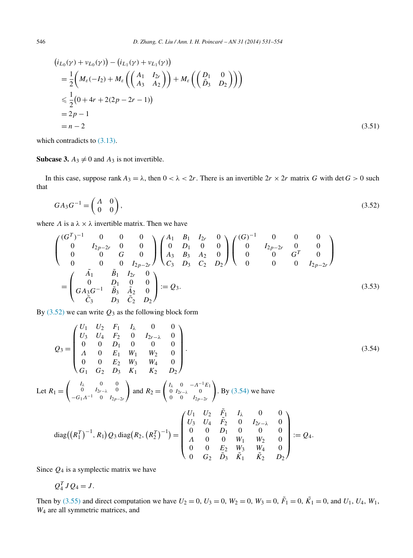$$
(i_{L_0}(\gamma) + \nu_{L_0}(\gamma)) - (i_{L_1}(\gamma) + \nu_{L_1}(\gamma))
$$
  
=  $\frac{1}{2}$   $\left( M_{\varepsilon}(-I_2) + M_{\varepsilon} \left( \begin{pmatrix} A_1 & I_{2r} \\ A_3 & A_2 \end{pmatrix} \right) + M_{\varepsilon} \left( \begin{pmatrix} D_1 & 0 \\ \tilde{D}_3 & D_2 \end{pmatrix} \right) \right)$   
 $\leq \frac{1}{2} (0 + 4r + 2(2p - 2r - 1))$   
=  $2p - 1$   
=  $n - 2$  (3.51)

which contradicts to  $(3.13)$ .

**Subcase 3.**  $A_3 \neq 0$  and  $A_3$  is not invertible.

In this case, suppose rank  $A_3 = \lambda$ , then  $0 < \lambda < 2r$ . There is an invertible  $2r \times 2r$  matrix *G* with det  $G > 0$  such that

$$
GA_3G^{-1} = \begin{pmatrix} A & 0 \\ 0 & 0 \end{pmatrix},\tag{3.52}
$$

where  $\Lambda$  is a  $\lambda \times \lambda$  invertible matrix. Then we have

$$
\begin{pmatrix}\n(G^T)^{-1} & 0 & 0 & 0 \\
0 & I_{2p-2r} & 0 & 0 \\
0 & 0 & G & 0 \\
0 & 0 & 0 & I_{2p-2r}\n\end{pmatrix}\n\begin{pmatrix}\nA_1 & B_1 & I_{2r} & 0 \\
0 & D_1 & 0 & 0 \\
A_3 & B_3 & A_2 & 0 \\
C_3 & D_3 & C_2 & D_2\n\end{pmatrix}\n\begin{pmatrix}\n(G)^{-1} & 0 & 0 & 0 \\
0 & I_{2p-2r} & 0 & 0 \\
0 & 0 & G^T & 0 \\
0 & 0 & 0 & I_{2p-2r}\n\end{pmatrix}
$$
\n
$$
=\n\begin{pmatrix}\n\tilde{A}_1 & \tilde{B}_1 & I_{2r} & 0 \\
0 & D_1 & 0 & 0 \\
0 & D_1 & 0 & 0 \\
\tilde{C}_3 & D_3 & \tilde{C}_2 & D_2\n\end{pmatrix} := Q_3.
$$
\n(3.53)

By  $(3.52)$  we can write  $Q_3$  as the following block form

$$
Q_3 = \begin{pmatrix} U_1 & U_2 & F_1 & I_\lambda & 0 & 0 \\ U_3 & U_4 & F_2 & 0 & I_{2r-\lambda} & 0 \\ 0 & 0 & D_1 & 0 & 0 & 0 \\ A & 0 & E_1 & W_1 & W_2 & 0 \\ 0 & 0 & E_2 & W_3 & W_4 & 0 \\ G_1 & G_2 & D_3 & K_1 & K_2 & D_2 \end{pmatrix}.
$$
 (3.54)  
Let  $R_1 = \begin{pmatrix} I_\lambda & 0 & 0 \\ 0 & I_{2r-\lambda} & 0 \\ -G_1A^{-1} & 0 & I_{2p-2r} \end{pmatrix}$  and  $R_2 = \begin{pmatrix} I_\lambda & 0 & -A^{-1}E_1 \\ 0 & I_{2r-\lambda} & 0 \\ 0 & 0 & I_{2p-2r} \end{pmatrix}$ . By (3.54) we have  
diag $((R_1^T)^{-1}, R_1)Q_3$  diag $(R_2, (R_2^T)^{-1}) = 
$$
\begin{pmatrix} U_1 & U_2 & \tilde{F}_1 & I_\lambda & 0 & 0 \\ U_3 & U_4 & \tilde{F}_2 & 0 & I_{2r-\lambda} & 0 \\ 0 & 0 & D_1 & 0 & 0 & 0 \\ A & 0 & 0 & W_1 & W_2 & 0 \\ 0 & 0 & E_2 & W_3 & W_4 & 0 \end{pmatrix} := Q_4.
$$$ 

Since *Q*<sup>4</sup> is a symplectic matrix we have

 $Q_4^T J Q_4 = J.$ 

Then by (3.55) and direct computation we have  $U_2 = 0$ ,  $U_3 = 0$ ,  $W_2 = 0$ ,  $W_3 = 0$ ,  $\tilde{F}_1 = 0$ ,  $\tilde{K}_1 = 0$ , and  $U_1$ ,  $U_4$ ,  $W_1$ , *W*<sup>4</sup> are all symmetric matrices, and

 $0$   $G_2$   $\tilde{D}_3$   $\tilde{K}_1$   $\tilde{K}_2$   $D_2$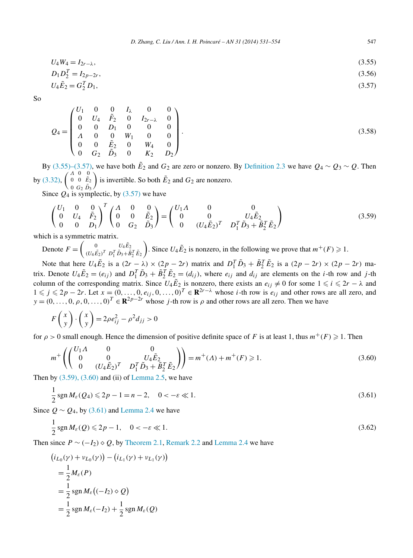$$
U_4 W_4 = I_{2r - \lambda},\tag{3.55}
$$

$$
D_1 D_2^T = I_{2p-2r},
$$
  
\n
$$
U_4 \tilde{E}_2 = G_2^T D_1,
$$
\n(3.56)

So

$$
Q_4 = \begin{pmatrix} U_1 & 0 & 0 & I_{\lambda} & 0 & 0 \\ 0 & U_4 & \tilde{F}_2 & 0 & I_{2r-\lambda} & 0 \\ 0 & 0 & D_1 & 0 & 0 & 0 \\ A & 0 & 0 & W_1 & 0 & 0 \\ 0 & 0 & \tilde{E}_2 & 0 & W_4 & 0 \\ 0 & G_2 & \tilde{D}_3 & 0 & K_2 & D_2 \end{pmatrix}.
$$
 (3.58)

By (3.55)–(3.57), we have both  $\tilde{E}_2$  and  $G_2$  are zero or nonzero. By [Definition 2.3](#page-5-0) we have  $Q_4 \sim Q_3 \sim Q$ . Then by [\(3.32\),](#page-12-0)  $\left(\begin{smallmatrix} A & 0 & 0 \\ 0 & 0 & \tilde{E}_2 \end{smallmatrix}\right)$  $0 \ G_2 \ \tilde{D}_3$ is invertible. So both  $\tilde{E}_2$  and  $G_2$  are nonzero.

Since  $Q_4$  is symplectic, by (3.57) we have

$$
\begin{pmatrix} U_1 & 0 & 0 \ 0 & U_4 & \tilde{F}_2 \ 0 & 0 & D_1 \end{pmatrix}^T \begin{pmatrix} \Lambda & 0 & 0 \ 0 & 0 & \tilde{E}_2 \ 0 & G_2 & \tilde{D}_3 \end{pmatrix} = \begin{pmatrix} U_1 \Lambda & 0 & 0 \ 0 & 0 & U_4 \tilde{E}_2 \ 0 & (U_4 \tilde{E}_2)^T & D_1^T \tilde{D}_3 + \tilde{B}_2^T \tilde{E}_2 \end{pmatrix}
$$
(3.59)

which is a symmetric matrix.

Denote  $F = \begin{pmatrix} 0 & U_4 \tilde{E}_2 \\ (U_4 \tilde{E}_3)^T & D^T \tilde{D}_4 + \tilde{E}_2 \end{pmatrix}$  $(U_4 \tilde{E_2})^T D_1^T \tilde{D_3} + \tilde{B}_2^T \tilde{E_2}$ ). Since  $U_4 \tilde{E}_2$  is nonzero, in the following we prove that  $m^+(F) \geq 1$ .

Note that here  $U_4 \tilde{E}_2$  is a  $(2r - \lambda) \times (2p - 2r)$  matrix and  $D_1^T \tilde{D}_3 + \tilde{B}_2^T \tilde{E}_2$  is a  $(2p - 2r) \times (2p - 2r)$  matrix. Denote  $U_4 \tilde{E}_2 = (e_{ij})$  and  $D_1^T \tilde{D}_3 + \tilde{B}_2^T \tilde{E}_2 = (d_{ij})$ , where  $e_{ij}$  and  $d_{ij}$  are elements on the *i*-th row and *j*-th column of the corresponding matrix. Since  $U_4 \tilde{E}_2$  is nonzero, there exists an  $e_{ij} \neq 0$  for some  $1 \leq i \leq 2r - \lambda$  and  $1 ≤ j ≤ 2p - 2r$ . Let  $x = (0, ..., 0, e_{ij}, 0, ..., 0)^T ∈ \mathbf{R}^{2r - \lambda}$  whose *i*-th row is  $e_{ij}$  and other rows are all zero, and  $y = (0, \ldots, 0, \rho, 0, \ldots, 0)^T \in \mathbb{R}^{2p-2r}$  whose *j*-th row is  $\rho$  and other rows are all zero. Then we have

$$
F\begin{pmatrix} x \\ y \end{pmatrix} \cdot \begin{pmatrix} x \\ y \end{pmatrix} = 2\rho e_{ij}^2 - \rho^2 d_{jj} > 0
$$

for  $\rho > 0$  small enough. Hence the dimension of positive definite space of *F* is at least 1, thus  $m^+(F) \geq 1$ . Then

$$
m^{+}\left(\begin{pmatrix} U_{1}\Lambda & 0 & 0\\ 0 & 0 & U_{4}\tilde{E}_{2} \\ 0 & (U_{4}\tilde{E}_{2})^{T} & D_{1}^{T}\tilde{D}_{3} + \tilde{B}_{2}^{T}\tilde{E}_{2} \end{pmatrix}\right) = m^{+}(\Lambda) + m^{+}(F) \ge 1.
$$
 (3.60)

Then by  $(3.59)$ ,  $(3.60)$  and (ii) of [Lemma 2.5,](#page-8-0) we have

$$
\frac{1}{2}\operatorname{sgn} M_{\varepsilon}(Q_4) \leq 2p - 1 = n - 2, \quad 0 < -\varepsilon \ll 1. \tag{3.61}
$$

Since  $Q \sim Q_4$ , by (3.61) and [Lemma 2.4](#page-7-0) we have

1

$$
\frac{1}{2}\operatorname{sgn}M_{\varepsilon}(Q)\leqslant 2p-1,\quad 0<\,-\varepsilon\ll 1.\tag{3.62}
$$

Then since  $P \sim (-I_2) \diamond Q$ , by [Theorem 2.1,](#page-6-0) [Remark 2.2](#page-6-0) and [Lemma 2.4](#page-7-0) we have

$$
(i_{L_0}(\gamma) + \nu_{L_0}(\gamma)) - (i_{L_1}(\gamma) + \nu_{L_1}(\gamma))
$$
  
=  $\frac{1}{2}M_\varepsilon(P)$   
=  $\frac{1}{2}$ sgn $M_\varepsilon((-I_2) \diamond Q)$   
=  $\frac{1}{2}$ sgn $M_\varepsilon(-I_2) + \frac{1}{2}$ sgn $M_\varepsilon(Q)$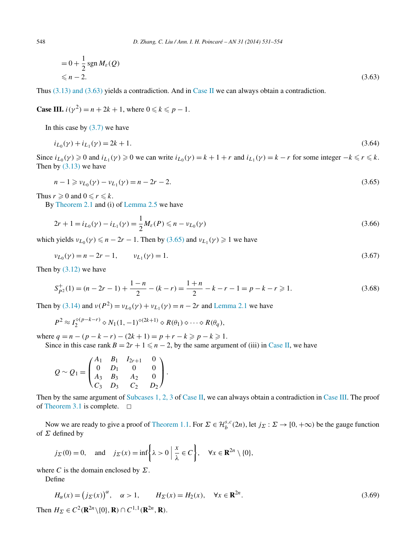$$
= 0 + \frac{1}{2} \operatorname{sgn} M_{\varepsilon}(Q)
$$
  
\$\leq n - 2\$. (3.63)

Thus  $(3.13)$  and  $(3.63)$  yields a contradiction. And in [Case II](#page-11-0) we can always obtain a contradiction.

**Case III.**  $i(y^2) = n + 2k + 1$ , where  $0 \le k \le p - 1$ .

In this case by  $(3.7)$  we have

$$
i_{L_0}(\gamma) + i_{L_1}(\gamma) = 2k + 1. \tag{3.64}
$$

Since  $i_{L_0}(\gamma) \ge 0$  and  $i_{L_1}(\gamma) \ge 0$  we can write  $i_{L_0}(\gamma) = k + 1 + r$  and  $i_{L_1}(\gamma) = k - r$  for some integer  $-k \le r \le k$ . Then by  $(3.13)$  we have

$$
n - 1 \geq v_{L_0}(\gamma) - v_{L_1}(\gamma) = n - 2r - 2. \tag{3.65}
$$

Thus  $r \geqslant 0$  and  $0 \leqslant r \leqslant k$ .

By [Theorem](#page-6-0) 2.1 and (i) of [Lemma 2.5](#page-8-0) we have

$$
2r + 1 = i_{L_0}(\gamma) - i_{L_1}(\gamma) = \frac{1}{2}M_{\varepsilon}(P) \leq n - \nu_{L_0}(\gamma)
$$
\n(3.66)

which yields  $v_{L_0}(\gamma) \le n - 2r - 1$ . Then by (3.65) and  $v_{L_1}(\gamma) \ge 1$  we have

$$
\nu_{L_0}(\gamma) = n - 2r - 1, \qquad \nu_{L_1}(\gamma) = 1. \tag{3.67}
$$

Then by [\(3.12\)](#page-10-0) we have

$$
S_{p2}^{+}(1) = (n - 2r - 1) + \frac{1 - n}{2} - (k - r) = \frac{1 + n}{2} - k - r - 1 = p - k - r \ge 1.
$$
 (3.68)

Then by [\(3.14\)](#page-10-0) and  $v(P^2) = v_{L_0}(y) + v_{L_1}(y) = n - 2r$  and [Lemma 2.1](#page-5-0) we have

$$
P^2 \approx I_2^{\diamond (p-k-r)} \diamond N_1(1,-1)^{\diamond (2k+1)} \diamond R(\theta_1) \diamond \cdots \diamond R(\theta_q),
$$

where  $q = n - (p - k - r) - (2k + 1) = p + r - k \geqslant p - k \geqslant 1$ .

Since in this case rank  $B = 2r + 1 \leq n - 2$ , by the same argument of (iii) in [Case II,](#page-11-0) we have

$$
Q \sim Q_1 = \begin{pmatrix} A_1 & B_1 & I_{2r+1} & 0 \\ 0 & D_1 & 0 & 0 \\ A_3 & B_3 & A_2 & 0 \\ C_3 & D_3 & C_2 & D_2 \end{pmatrix}.
$$

Then by the same argument of [Subcases 1, 2, 3](#page-13-0) of [Case II,](#page-11-0) we can always obtain a contradiction in Case III. The proof of [Theorem 3.1](#page-9-0) is complete.  $\square$ 

Now we are ready to give a proof of [Theorem](#page-3-0) 1.1. For  $\Sigma \in \mathcal{H}_{b}^{s,c}(2n)$ , let  $j_{\Sigma}: \Sigma \to [0, +\infty)$  be the gauge function of *Σ* defined by

$$
j_{\Sigma}(0) = 0
$$
, and  $j_{\Sigma}(x) = \inf \left\{ \lambda > 0 \mid \frac{x}{\lambda} \in C \right\}$ ,  $\forall x \in \mathbb{R}^{2n} \setminus \{0\}$ ,

where *C* is the domain enclosed by  $\Sigma$ .

Define

$$
H_{\alpha}(x) = (j_{\Sigma}(x))^{\alpha}, \quad \alpha > 1, \qquad H_{\Sigma}(x) = H_{2}(x), \quad \forall x \in \mathbb{R}^{2n}.
$$
 (3.69)

 $\text{Then } H_{\Sigma} \in C^2(\mathbb{R}^{2n} \setminus \{0\}, \mathbb{R}) \cap C^{1,1}(\mathbb{R}^{2n}, \mathbb{R})$ .

<span id="page-17-0"></span>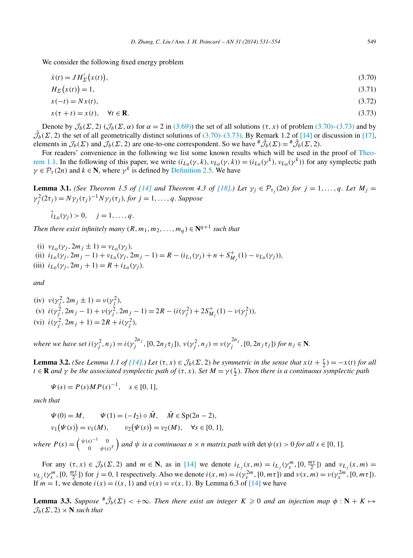<span id="page-18-0"></span>We consider the following fixed energy problem

$$
\dot{x}(t) = JH'_{\Sigma}(x(t)),\tag{3.70}
$$

$$
H_{\Sigma}\big(x(t)\big) = 1,\tag{3.71}
$$

$$
x(-t) = Nx(t),\tag{3.72}
$$

$$
x(\tau + t) = x(t), \quad \forall t \in \mathbf{R}.\tag{3.73}
$$

Denote by  $\mathcal{J}_b(\Sigma, 2)$  ( $\mathcal{J}_b(\Sigma, \alpha)$ ) for  $\alpha = 2$  in [\(3.69\)\)](#page-17-0) the set of all solutions  $(\tau, x)$  of problem (3.70)–(3.73) and by  $\tilde{\mathcal{J}}_b(\Sigma, 2)$  the set of all geometrically distinct solutions of (3.70)–(3.73). By Remark 1.2 of [\[14\]](#page-23-0) or discussion in [\[17\],](#page-23-0) elements in  $\mathcal{J}_b(\Sigma)$  and  $\mathcal{J}_b(\Sigma, 2)$  are one-to-one correspondent. So we have  $\mathbf{H}^* \tilde{\mathcal{J}}_b(\Sigma) = \mathbf{H}^* \tilde{\mathcal{J}}_b(\Sigma, 2)$ .

For readers' convenience in the following we list some known results which will be used in the proof of [Theo](#page-3-0)[rem](#page-3-0) 1.1. In the following of this paper, we write  $(i_{L_0}(\gamma, k), v_{L_0}(\gamma, k)) = (i_{L_0}(\gamma^k), v_{L_0}(\gamma^k))$  for any symplectic path  $\gamma \in \mathcal{P}_{\tau}(2n)$  and  $k \in \mathbb{N}$ , where  $\gamma^{k}$  is defined by [Definition 2.5.](#page-6-0) We have

**Lemma 3.1.** *(See Theorem 1.5 of* [\[14\]](#page-23-0) *and Theorem 4.3 of* [\[18\].](#page-23-0) *Let*  $\gamma_i \in \mathcal{P}_{\tau_i}(2n)$  *for*  $j = 1, ..., q$ *. Let*  $M_j =$  $\gamma_j^2(2\tau_j) = N\gamma_j(\tau_j)^{-1}N\gamma_j(\tau_j)$ *, for*  $j = 1, \ldots, q$ *. Suppose* 

 $\hat{i}_{L_0}(\gamma_i) > 0, \quad j = 1, \ldots, q.$ 

*Then there exist infinitely many*  $(R, m_1, m_2, \ldots, m_q) \in \mathbb{N}^{q+1}$  *such that* 

- (i)  $v_{L_0}(\gamma_i, 2m_i \pm 1) = v_{L_0}(\gamma_i)$ , (ii)  $i_{L_0}(\gamma_j, 2m_j - 1) + \nu_{L_0}(\gamma_j, 2m_j - 1) = R - (i_{L_1}(\gamma_j) + n + S_{M_j}^+(1) - \nu_{L_0}(\gamma_j)),$
- (iii)  $i_{L_0}(\gamma_i, 2m_i + 1) = R + i_{L_0}(\gamma_i)$ .

*and*

(iv) 
$$
v(\gamma_j^2, 2m_j \pm 1) = v(\gamma_j^2)
$$
,  
\n(v)  $i(\gamma_j^2, 2m_j - 1) + v(\gamma_j^2, 2m_j - 1) = 2R - (i(\gamma_j^2) + 2S_{M_j}^+(1) - v(\gamma_j^2))$ ,  
\n(vi)  $i(\gamma_j^2, 2m_j + 1) = 2R + i(\gamma_j^2)$ ,

where we have set  $i(\gamma_j^2, n_j) = i(\gamma_j^{2n_j}, [0, 2n_j\tau_j]), v(\gamma_j^2, n_j) = v(\gamma_j^{2n_j}, [0, 2n_j\tau_j])$  for  $n_j \in \mathbb{N}$ .

**Lemma 3.2.** *(See Lemma 1.1 of [\[14\].](#page-23-0)) Let*  $(\tau, x) \in \mathcal{J}_b(\Sigma, 2)$  *be symmetric in the sense that*  $x(t + \frac{\tau}{2}) = -x(t)$  *for all*  $t \in \mathbf{R}$  *and*  $\gamma$  *be the associated symplectic path of*  $(\tau, x)$ *. Set*  $M = \gamma(\frac{\tau}{2})$ *. Then there is a continuous symplectic path* 

$$
\Psi(s) = P(s)MP(s)^{-1}, \quad s \in [0, 1],
$$

*such that*

$$
\Psi(0) = M, \qquad \Psi(1) = (-I_2) \diamond \tilde{M}, \qquad \tilde{M} \in \text{Sp}(2n - 2), \nu_1(\Psi(s)) = \nu_1(M), \qquad \nu_2(\Psi(s)) = \nu_2(M), \qquad \forall s \in [0, 1],
$$

*where*  $P(s) = \begin{pmatrix} \psi(s)^{-1} & 0 \\ 0 & \psi(s) \end{pmatrix}$  $0 \psi(s)^T$ *and*  $\psi$  *is a continuous*  $n \times n$  *matrix path with* det  $\psi(s) > 0$  *for all*  $s \in [0, 1]$ *.* 

For any  $(\tau, x) \in \mathcal{J}_b(\Sigma, 2)$  and  $m \in \mathbb{N}$ , as in [\[14\]](#page-23-0) we denote  $i_{L_j}(x, m) = i_{L_j}(\gamma_x^m, [0, \frac{m\tau}{2}])$  and  $v_{L_j}(x, m) =$  $\nu_{L_j}(\gamma_x^m, [0, \frac{m\tau}{2}])$  for  $j = 0, 1$  respectively. Also we denote  $i(x, m) = i(\gamma_x^{2m}, [0, m\tau])$  and  $\nu(x, m) = \nu(\gamma_x^{2m}, [0, m\tau])$ . If  $m = 1$ , we denote  $i(x) = i(x, 1)$  and  $v(x) = v(x, 1)$ . By Lemma 6.3 of [\[14\]](#page-23-0) we have

**Lemma 3.3.** *Suppose*  $^{\#}\tilde{J}_b(\Sigma) < +\infty$ *. Then there exist an integer*  $K \geq 0$  *and an injection map*  $\phi : \mathbf{N} + K \mapsto$  $\mathcal{J}_h(\Sigma, 2) \times \mathbf{N}$  *such that*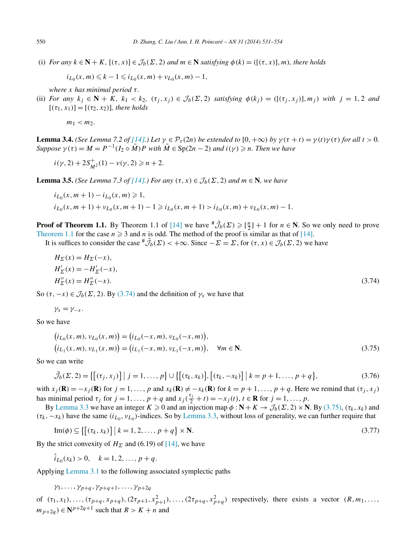<span id="page-19-0"></span>(i) *For any*  $k \in \mathbb{N} + K$ ,  $[(\tau, x)] \in \mathcal{J}_b(\Sigma, 2)$  *and*  $m \in \mathbb{N}$  *satisfying*  $\phi(k) = ([(\tau, x)], m$ *), there holds* 

$$
i_{L_0}(x,m) \leq k - 1 \leq i_{L_0}(x,m) + \nu_{L_0}(x,m) - 1,
$$

*where x has minimal period τ .*

(ii) For any  $k_i \in \mathbb{N} + K$ ,  $k_1 < k_2$ ,  $(\tau_i, x_i) \in \mathcal{J}_b(\Sigma, 2)$  satisfying  $\phi(k_i) = (\{( \tau_i, x_i) \}, m_i)$  with  $j = 1, 2$  and  $[(\tau_1, x_1)] = [(\tau_2, x_2)]$ , there holds

 $m_1 < m_2$ .

**Lemma 3.4.** (See Lemma 7.2 of [\[14\].](#page-23-0)) Let  $\gamma \in \mathcal{P}_{\tau}(2n)$  be extended to  $[0, +\infty)$  by  $\gamma(\tau + t) = \gamma(t)\gamma(\tau)$  for all  $t > 0$ . *Suppose*  $\gamma(\tau) = M = P^{-1}(I_2 \diamond \tilde{M})P$  *with*  $\tilde{M} \in \text{Sp}(2n-2)$  *and*  $i(\gamma) \geq n$ *. Then we have* 

$$
i(\gamma, 2) + 2S_{M^2}^+(1) - \nu(\gamma, 2) \ge n + 2.
$$

**Lemma 3.5.** *(See Lemma 7.3 of [\[14\].](#page-23-0)) For any*  $(\tau, x) \in \mathcal{J}_b(\Sigma, 2)$  *and*  $m \in \mathbb{N}$ *, we have* 

$$
i_{L_0}(x, m + 1) - i_{L_0}(x, m) \ge 1,
$$
  
\n
$$
i_{L_0}(x, m + 1) + \nu_{L_0}(x, m + 1) - 1 \ge i_{L_0}(x, m + 1) > i_{L_0}(x, m) + \nu_{L_0}(x, m) - 1.
$$

**Proof of Theorem 1.1.** By Theorem 1.1 of [\[14\]](#page-23-0) we have  $\sharp \tilde{J}_b(\Sigma) \geqslant [\frac{n}{2}] + 1$  for  $n \in \mathbb{N}$ . So we only need to prove [Theorem 1.1](#page-3-0) for the case  $n \geq 3$  and *n* is odd. The method of the proof is similar as that of [\[14\].](#page-23-0)

It is suffices to consider the case  $^{\#}\tilde{\mathcal{J}}_b(\Sigma) < +\infty$ . Since  $-\Sigma = \Sigma$ , for  $(\tau, x) \in \mathcal{J}_b(\Sigma, 2)$  we have

$$
H_{\Sigma}(x) = H_{\Sigma}(-x),
$$
  
\n
$$
H'_{\Sigma}(x) = -H'_{\Sigma}(-x),
$$
  
\n
$$
H''_{\Sigma}(x) = H''_{\Sigma}(-x).
$$
\n(3.74)

So  $(\tau, -x) \in \mathcal{J}_b(\Sigma, 2)$ . By (3.74) and the definition of  $\gamma_x$  we have that

$$
\gamma_x=\gamma_{-x}.
$$

So we have

$$
(i_{L_0}(x, m), v_{L_0}(x, m)) = (i_{L_0}(-x, m), v_{L_0}(-x, m)),(i_{L_1}(x, m), v_{L_1}(x, m)) = (i_{L_1}(-x, m), v_{L_1}(-x, m)), \forall m \in \mathbb{N}.
$$
\n(3.75)

So we can write

$$
\tilde{\mathcal{J}}_b(\Sigma, 2) = \{ [(\tau_j, x_j)] \mid j = 1, \dots, p \} \cup \{ [(\tau_k, x_k)], [(\tau_k, -x_k)] \mid k = p + 1, \dots, p + q \},
$$
\n(3.76)

with  $x_j(\mathbf{R}) = -x_j(\mathbf{R})$  for  $j = 1, ..., p$  and  $x_k(\mathbf{R}) \neq -x_k(\mathbf{R})$  for  $k = p + 1, ..., p + q$ . Here we remind that  $(\tau_j, x_j)$ has minimal period  $\tau_j$  for  $j = 1, ..., p + q$  and  $x_j(\frac{\tau_j}{2} + t) = -x_j(t)$ ,  $t \in \mathbb{R}$  for  $j = 1, ..., p$ .

By [Lemma 3.3](#page-18-0) we have an integer  $K \ge 0$  and an injection map  $\phi : \mathbb{N} + K \to \mathcal{J}_b(\Sigma, 2) \times \mathbb{N}$ . By (3.75),  $(\tau_k, x_k)$  and  $(\tau_k, -x_k)$  have the same  $(i_{L_0}, v_{L_0})$ -indices. So by [Lemma 3.3,](#page-18-0) without loss of generality, we can further require that

$$
\operatorname{Im}(\phi) \subseteq \left\{ \left[ (\tau_k, x_k) \right] \mid k = 1, 2, \dots, p + q \right\} \times \mathbf{N}.
$$
\n
$$
(3.77)
$$

By the strict convexity of  $H_{\Sigma}$  and (6.19) of [\[14\],](#page-23-0) we have

 $\hat{i}_{L_0}(x_k) > 0, \quad k = 1, 2, \ldots, p+q.$ 

Applying [Lemma 3.1](#page-18-0) to the following associated symplectic paths

$$
\gamma_1, \ldots, \gamma_{p+q}, \gamma_{p+q+1}, \ldots, \gamma_{p+2q}
$$

of  $(\tau_1, x_1), \ldots, (\tau_{p+q}, x_{p+q}), (2\tau_{p+1}, x_{p+1}^2), \ldots, (2\tau_{p+q}, x_{p+q}^2)$  respectively, there exists a vector  $(R, m_1, \ldots, m_q)$ *m*<sub>*n*+2*a*</sub>) ∈  $N^{p+2q+1}$  such that *R* > *K* + *n* and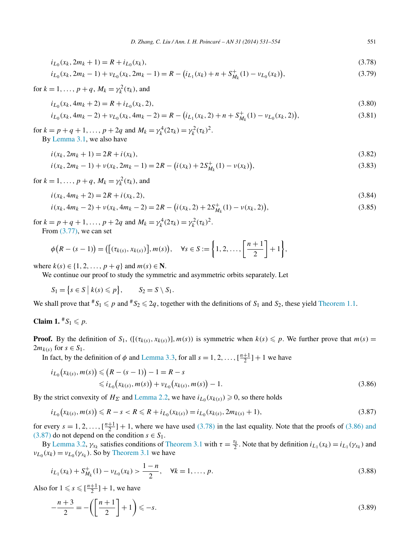<span id="page-20-0"></span>
$$
i_{L_0}(x_k, 2m_k + 1) = R + i_{L_0}(x_k),
$$
\n(3.78)

$$
i_{L_0}(x_k, 2m_k - 1) + \nu_{L_0}(x_k, 2m_k - 1) = R - (i_{L_1}(x_k) + n + S^+_{M_k}(1) - \nu_{L_0}(x_k)),
$$
\n(3.79)

 $f \text{or } k = 1, \ldots, p + q, M_k = \gamma_k^2(\tau_k)$ , and

$$
i_{L_0}(x_k, 4m_k + 2) = R + i_{L_0}(x_k, 2),
$$
\n(3.80)

$$
i_{L_0}(x_k, 4m_k - 2) + \nu_{L_0}(x_k, 4m_k - 2) = R - (i_{L_1}(x_k, 2) + n + S^+_{M_k}(1) - \nu_{L_0}(x_k, 2)),
$$
\n(3.81)

for  $k = p + q + 1, ..., p + 2q$  and  $M_k = \gamma_k^4 (2\tau_k) = \gamma_k^2 (\tau_k)^2$ . By [Lemma](#page-18-0) 3.1, we also have

$$
i(x_k, 2m_k + 1) = 2R + i(x_k),
$$
\n(3.82)

$$
i(x_k, 2m_k - 1) + v(x_k, 2m_k - 1) = 2R - (i(x_k) + 2S_{M_k}^+(1) - v(x_k)),
$$
\n(3.83)

 $f \text{or } k = 1, \ldots, p + q, M_k = \gamma_k^2(\tau_k)$ , and

$$
i(x_k, 4m_k + 2) = 2R + i(x_k, 2),
$$
\n(3.84)

$$
i(x_k, 4m_k - 2) + v(x_k, 4m_k - 2) = 2R - (i(x_k, 2) + 2S_{M_k}^+(1) - v(x_k, 2)),
$$
\n(3.85)

for  $k = p + q + 1, ..., p + 2q$  and  $M_k = \gamma_k^4 (2\tau_k) = \gamma_k^2 (\tau_k)^2$ . From [\(3.77\),](#page-19-0) we can set

$$
\phi(R - (s - 1)) = ([(\tau_{k(s)}, x_{k(s)})], m(s)), \quad \forall s \in S := \left\{1, 2, \ldots, \left[\frac{n+1}{2}\right] + 1\right\},\
$$

where  $k(s) \in \{1, 2, ..., p + q\}$  and  $m(s) \in \mathbb{N}$ .

We continue our proof to study the symmetric and asymmetric orbits separately. Let

$$
S_1 = \{s \in S \mid k(s) \leqslant p\}, \qquad S_2 = S \setminus S_1.
$$

We shall prove that  $*S_1 \leq p$  and  $*S_2 \leq 2q$ , together with the definitions of  $S_1$  and  $S_2$ , these yield [Theorem 1.1.](#page-3-0)

**Claim 1.**  $^{\#}S_1 \leqslant p$ .

**Proof.** By the definition of  $S_1$ ,  $([\tau_{k(s)}, x_{k(s)})]$ ,  $m(s)$  is symmetric when  $k(s) \leq p$ . We further prove that  $m(s) =$  $2m_{k(s)}$  for  $s \in S_1$ .

In fact, by the definition of  $\phi$  and [Lemma 3.3,](#page-18-0) for all  $s = 1, 2, ..., \lfloor \frac{n+1}{2} \rfloor + 1$  we have

$$
i_{L_0}(x_{k(s)}, m(s)) \leq (R - (s - 1)) - 1 = R - s
$$
  
 
$$
\leq i_{L_0}(x_{k(s)}, m(s)) + \nu_{L_0}(x_{k(s)}, m(s)) - 1.
$$
 (3.86)

By the strict convexity of  $H_{\Sigma}$  and [Lemma 2.2,](#page-5-0) we have  $i_{L_0}(x_{k(s)}) \geq 0$ , so there holds

$$
i_{L_0}(x_{k(s)}, m(s)) \le R - s < R \le R + i_{L_0}(x_{k(s)}) = i_{L_0}(x_{k(s)}, 2m_{k(s)} + 1),\tag{3.87}
$$

for every  $s = 1, 2, \ldots, \lfloor \frac{n+1}{2} \rfloor + 1$ , where we have used (3.78) in the last equality. Note that the proofs of (3.86) and (3.87) do not depend on the condition  $s \in S_1$ .

By [Lemma 3.2,](#page-18-0)  $\gamma_{x_k}$  satisfies conditions of [Theorem 3.1](#page-9-0) with  $\tau = \frac{\tau_k}{2}$ . Note that by definition  $i_{L_1}(x_k) = i_{L_1}(\gamma_{x_k})$  and  $v_{L_0}(x_k) = v_{L_0}(\gamma_{x_k})$ . So by [Theorem 3.1](#page-9-0) we have

$$
i_{L_1}(x_k) + S_{M_k}^+(1) - \nu_{L_0}(x_k) > \frac{1-n}{2}, \quad \forall k = 1, \dots, p. \tag{3.88}
$$

Also for  $1 \leqslant s \leqslant \lfloor \frac{n+1}{2} \rfloor + 1$ , we have

$$
-\frac{n+3}{2} = -\left(\left[\frac{n+1}{2}\right]+1\right) \le -s.\tag{3.89}
$$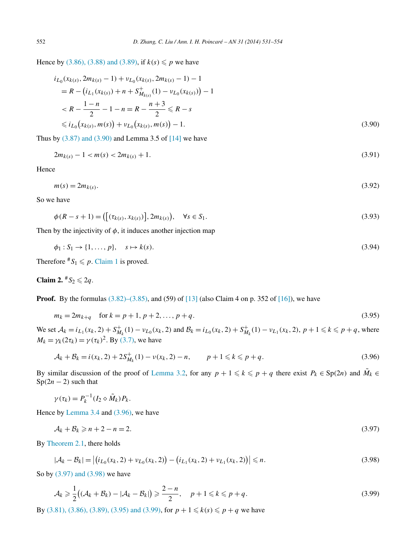<span id="page-21-0"></span>Hence by [\(3.86\), \(3.88\) and \(3.89\),](#page-20-0) if  $k(s) \leq p$  we have

$$
i_{L_0}(x_{k(s)}, 2m_{k(s)} - 1) + \nu_{L_0}(x_{k(s)}, 2m_{k(s)} - 1) - 1
$$
  
=  $R - (i_{L_1}(x_{k(s)}) + n + S_{M_{k(s)}}^+(1) - \nu_{L_0}(x_{k(s)})) - 1$   
<  $R - \frac{1 - n}{2} - 1 - n = R - \frac{n + 3}{2} \le R - s$   
 $\le i_{L_0}(x_{k(s)}, m(s)) + \nu_{L_0}(x_{k(s)}, m(s)) - 1.$  (3.90)

Thus by  $(3.87)$  and  $(3.90)$  and Lemma 3.5 of  $[14]$  we have

$$
2m_{k(s)} - 1 < m(s) < 2m_{k(s)} + 1. \tag{3.91}
$$

Hence

$$
m(s) = 2m_{k(s)}.\tag{3.92}
$$

So we have

$$
\phi(R - s + 1) = \left( \left[ (\tau_{k(s)}, x_{k(s)}) \right], 2m_{k(s)} \right), \quad \forall s \in S_1.
$$
\n(3.93)

Then by the injectivity of  $\phi$ , it induces another injection map

$$
\phi_1: S_1 \to \{1, \ldots, p\}, \quad s \mapsto k(s). \tag{3.94}
$$

Therefore  $^{\#}S_1 \leq p$ . [Claim 1](#page-20-0) is proved.

**Claim 2.**  $*S_2 \le 2q$ .

**Proof.** By the formulas  $(3.82)$ – $(3.85)$ , and  $(59)$  of  $[13]$  (also Claim 4 on p. 352 of  $[16]$ ), we have

$$
m_k = 2m_{k+q} \quad \text{for } k = p+1, \, p+2, \dots, p+q. \tag{3.95}
$$

We set  $A_k = i_{L_1}(x_k, 2) + S_{M_k}^+(1) - \nu_{L_0}(x_k, 2)$  and  $B_k = i_{L_0}(x_k, 2) + S_{M_k}^+(1) - \nu_{L_1}(x_k, 2), p + 1 \le k \le p + q$ , where *M<sub>k</sub>* =  $\gamma_k(2\tau_k) = \gamma(\tau_k)^2$ . By [\(3.7\),](#page-9-0) we have

$$
\mathcal{A}_k + \mathcal{B}_k = i(x_k, 2) + 2S_{M_k}^+(1) - \nu(x_k, 2) - n, \qquad p + 1 \le k \le p + q. \tag{3.96}
$$

By similar discussion of the proof of [Lemma 3.2,](#page-18-0) for any  $p + 1 \leq k \leq p + q$  there exist  $P_k \in \text{Sp}(2n)$  and  $\tilde{M}_k \in$  $Sp(2n-2)$  such that

$$
\gamma(\tau_k) = P_k^{-1}(I_2 \diamond \tilde{M}_k) P_k.
$$

Hence by [Lemma 3.4](#page-19-0) and (3.96), we have

$$
\mathcal{A}_k + \mathcal{B}_k \geqslant n + 2 - n = 2. \tag{3.97}
$$

By [Theorem 2.1,](#page-6-0) there holds

$$
|\mathcal{A}_k - \mathcal{B}_k| = |(i_{L_0}(x_k, 2) + \nu_{L_0}(x_k, 2)) - (i_{L_1}(x_k, 2) + \nu_{L_1}(x_k, 2))| \le n.
$$
\n(3.98)

So by (3.97) and (3.98) we have

$$
\mathcal{A}_k \geq \frac{1}{2} \big( (\mathcal{A}_k + \mathcal{B}_k) - |\mathcal{A}_k - \mathcal{B}_k| \big) \geq \frac{2 - n}{2}, \quad p + 1 \leq k \leq p + q. \tag{3.99}
$$

By [\(3.81\), \(3.86\), \(3.89\), \(3.95\) and \(3.99\),](#page-20-0) for  $p + 1 \le k(s) \le p + q$  we have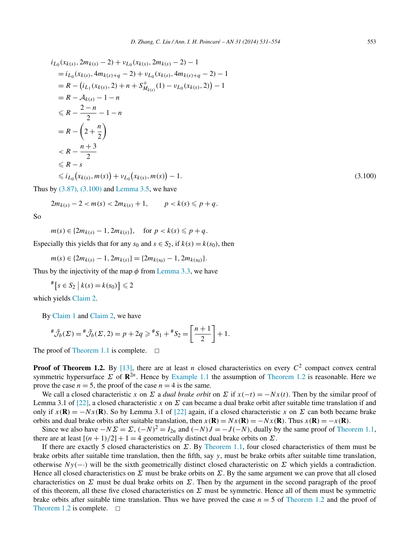$$
i_{L_0}(x_{k(s)}, 2m_{k(s)} - 2) + \nu_{L_0}(x_{k(s)}, 2m_{k(s)} - 2) - 1
$$
  
=  $i_{L_0}(x_{k(s)}, 4m_{k(s)+q} - 2) + \nu_{L_0}(x_{k(s)}, 4m_{k(s)+q} - 2) - 1$   
=  $R - (i_{L_1}(x_{k(s)}, 2) + n + S_{M_{k(s)}}^+(1) - \nu_{L_0}(x_{k(s)}, 2)) - 1$   
=  $R - A_{k(s)} - 1 - n$   
 $\leq R - \frac{2 - n}{2} - 1 - n$   
=  $R - (2 + \frac{n}{2})$   
 $\leq R - \frac{n + 3}{2}$   
 $\leq R - s$   
 $\leq i_{L_0}(x_{k(s)}, m(s)) + \nu_{L_0}(x_{k(s)}, m(s)) - 1.$  (3.100)  
by (3.87), (3.100) and Lemma 3.5, we have

Thus by

$$
2m_{k(s)} - 2 < m(s) < 2m_{k(s)} + 1, \qquad p < k(s) \leqslant p + q.
$$

So

$$
m(s) \in \{2m_{k(s)}-1, 2m_{k(s)}\}, \text{ for } p < k(s) \leq p+q.
$$

Especially this yields that for any  $s_0$  and  $s \in S_2$ , if  $k(s) = k(s_0)$ , then

$$
m(s) \in \{2m_{k(s)}-1, 2m_{k(s)}\} = \{2m_{k(s_0)}-1, 2m_{k(s_0)}\}.
$$

Thus by the injectivity of the map  $\phi$  from [Lemma 3.3,](#page-18-0) we have

$$
\mathbb{*}\big\{s\in S_2\big\vert k(s)=k(s_0)\big\}\leqslant 2
$$

which yields [Claim 2.](#page-21-0)

By [Claim](#page-20-0) 1 and [Claim 2,](#page-21-0) we have

$$
{}^{\#}\tilde{\mathcal{J}}_b(\Sigma) = {}^{\#}\tilde{\mathcal{J}}_b(\Sigma, 2) = p + 2q \geq {}^{\#}S_1 + {}^{\#}S_2 = \left[\frac{n+1}{2}\right] + 1.
$$

The proof of [Theorem 1.1](#page-3-0) is complete.  $\Box$ 

**Proof of Theorem 1.2.** By [\[13\],](#page-23-0) there are at least *n* closed characteristics on every  $C^2$  compact convex central symmetric hypersurface  $\Sigma$  of  $\mathbb{R}^{2n}$ . Hence by [Example 1.1](#page-3-0) the assumption of [Theorem 1.2](#page-3-0) is reasonable. Here we prove the case  $n = 5$ , the proof of the case  $n = 4$  is the same.

We call a closed characteristic *x* on  $\Sigma$  a *dual brake orbit* on  $\Sigma$  if  $x(-t) = -Nx(t)$ . Then by the similar proof of Lemma 3.1 of [\[22\],](#page-23-0) a closed characteristic *x* on *Σ* can became a dual brake orbit after suitable time translation if and only if  $x(\mathbf{R}) = -Nx(\mathbf{R})$ . So by Lemma 3.1 of [\[22\]](#page-23-0) again, if a closed characteristic *x* on  $\Sigma$  can both became brake orbits and dual brake orbits after suitable translation, then  $x(\mathbf{R}) = Nx(\mathbf{R})$ . Thus  $x(\mathbf{R}) = -x(\mathbf{R})$ .

Since we also have  $-N\Sigma = \Sigma$ ,  $(-N)^2 = I_{2n}$  and  $(-N)J = -J(-N)$ , dually by the same proof of [Theorem 1.1,](#page-3-0) there are at least  $[(n + 1)/2] + 1 = 4$  geometrically distinct dual brake orbits on  $\Sigma$ .

If there are exactly 5 closed characteristics on *Σ*. By [Theorem 1.1,](#page-3-0) four closed characteristics of them must be brake orbits after suitable time translation, then the fifth, say *y*, must be brake orbits after suitable time translation, otherwise  $Ny(-)$  will be the sixth geometrically distinct closed characteristic on  $\Sigma$  which yields a contradiction. Hence all closed characteristics on  $\Sigma$  must be brake orbits on  $\Sigma$ . By the same argument we can prove that all closed characteristics on  $\Sigma$  must be dual brake orbits on  $\Sigma$ . Then by the argument in the second paragraph of the proof of this theorem, all these five closed characteristics on *Σ* must be symmetric. Hence all of them must be symmetric brake orbits after suitable time translation. Thus we have proved the case  $n = 5$  of [Theorem 1.2](#page-3-0) and the proof of [Theorem 1.2](#page-3-0) is complete.  $\Box$